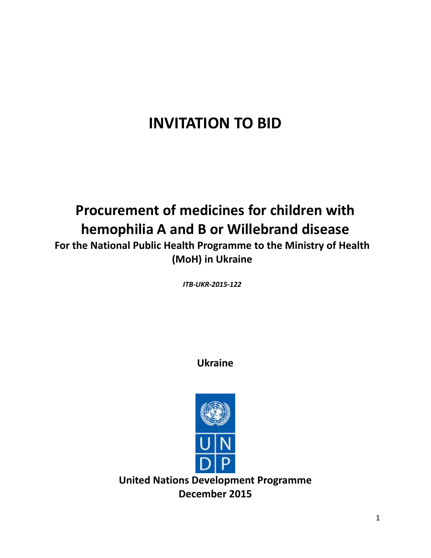# **INVITATION TO BID**

# **Procurement of medicines for children with hemophilia A and B or Willebrand disease**

**For the National Public Health Programme to the Ministry of Health (MoH) in Ukraine**

*ITB-UKR-2015-122* 

**Ukraine**



**United Nations Development Programme December 2015**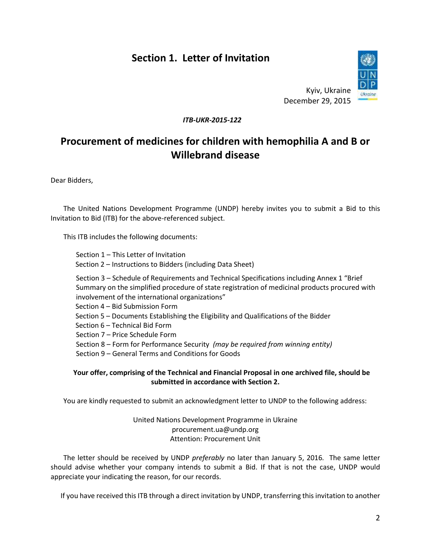# **Section 1. Letter of Invitation**



Kyiv, Ukraine December 29, 2015

#### *ITB-UKR-2015-122*

# **Procurement of medicines for children with hemophilia A and B or Willebrand disease**

Dear Bidders,

The United Nations Development Programme (UNDP) hereby invites you to submit a Bid to this Invitation to Bid (ITB) for the above-referenced subject.

This ITB includes the following documents:

Section 1 – This Letter of Invitation Section 2 – Instructions to Bidders (including Data Sheet) Section 3 – Schedule of Requirements and Technical Specifications including Annex 1 "Brief

Summary on the simplified procedure of state registration of medicinal products procured with involvement of the international organizations"

Section 4 – Bid Submission Form

Section 5 – Documents Establishing the Eligibility and Qualifications of the Bidder

Section 6 – Technical Bid Form

Section 7 – Price Schedule Form

Section 8 – Form for Performance Security *(may be required from winning entity)*

Section 9 – General Terms and Conditions for Goods

#### **Your offer, comprising of the Technical and Financial Proposal in one archived file, should be submitted in accordance with Section 2.**

You are kindly requested to submit an acknowledgment letter to UNDP to the following address:

United Nations Development Programme in Ukraine procurement.ua@undp.org Attention: Procurement Unit

The letter should be received by UNDP *preferably* no later than January 5, 2016*.* The same letter should advise whether your company intends to submit a Bid. If that is not the case, UNDP would appreciate your indicating the reason, for our records.

If you have received this ITB through a direct invitation by UNDP, transferring this invitation to another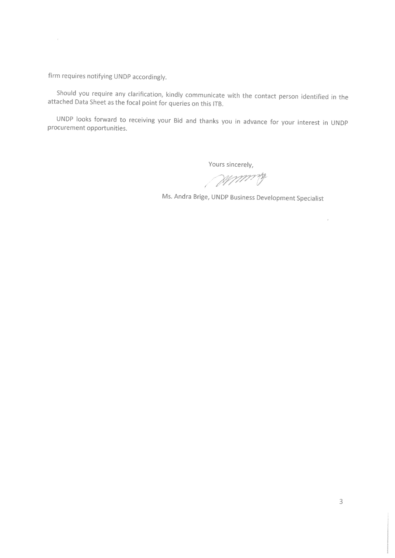firm requires notifying UNDP accordingly.

 $\mathcal{A}^{(n)}$ 

Should you require any clarification, kindly communicate with the contact person identified in the attached Data Sheet as the focal point for queries on this ITB.

UNDP looks forward to receiving your Bid and thanks you in advance for your interest in UNDP procurement opportunities.

Yours sincerely,

Munice

Ms. Andra Brige, UNDP Business Development Specialist

 $\rightarrow$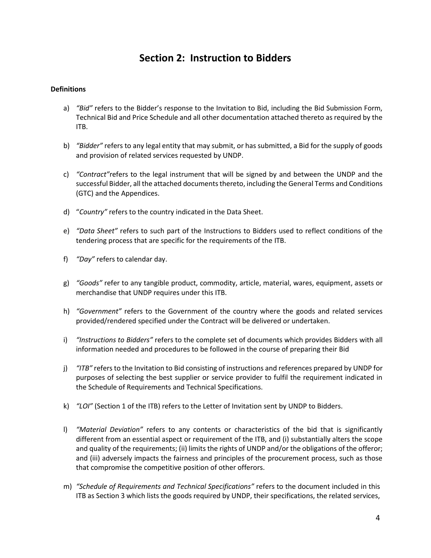# **Section 2: Instruction to Bidders**

#### **Definitions**

- a) *"Bid"* refers to the Bidder's response to the Invitation to Bid, including the Bid Submission Form, Technical Bid and Price Schedule and all other documentation attached thereto as required by the ITB.
- b) *"Bidder"* refers to any legal entity that may submit, or has submitted, a Bid for the supply of goods and provision of related services requested by UNDP.
- c) *"Contract"*refers to the legal instrument that will be signed by and between the UNDP and the successful Bidder, all the attached documents thereto, including the General Terms and Conditions (GTC) and the Appendices.
- d) "*Country"* refers to the country indicated in the Data Sheet.
- e) *"Data Sheet"* refers to such part of the Instructions to Bidders used to reflect conditions of the tendering process that are specific for the requirements of the ITB.
- f) *"Day"* refers to calendar day.
- g) *"Goods"* refer to any tangible product, commodity, article, material, wares, equipment, assets or merchandise that UNDP requires under this ITB.
- h) *"Government"* refers to the Government of the country where the goods and related services provided/rendered specified under the Contract will be delivered or undertaken.
- i) *"Instructions to Bidders"* refers to the complete set of documents which provides Bidders with all information needed and procedures to be followed in the course of preparing their Bid
- j) *"ITB"* refers to the Invitation to Bid consisting of instructions and references prepared by UNDP for purposes of selecting the best supplier or service provider to fulfil the requirement indicated in the Schedule of Requirements and Technical Specifications.
- k) *"LOI"* (Section 1 of the ITB) refers to the Letter of Invitation sent by UNDP to Bidders.
- l) *"Material Deviation"* refers to any contents or characteristics of the bid that is significantly different from an essential aspect or requirement of the ITB, and (i) substantially alters the scope and quality of the requirements; (ii) limits the rights of UNDP and/or the obligations of the offeror; and (iii) adversely impacts the fairness and principles of the procurement process, such as those that compromise the competitive position of other offerors.
- m) *"Schedule of Requirements and Technical Specifications"* refers to the document included in this ITB as Section 3 which lists the goods required by UNDP, their specifications, the related services,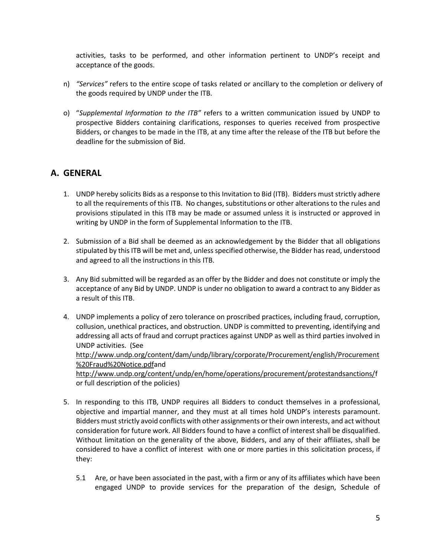activities, tasks to be performed, and other information pertinent to UNDP's receipt and acceptance of the goods.

- n) *"Services"* refers to the entire scope of tasks related or ancillary to the completion or delivery of the goods required by UNDP under the ITB.
- o) "*Supplemental Information to the ITB"* refers to a written communication issued by UNDP to prospective Bidders containing clarifications, responses to queries received from prospective Bidders, or changes to be made in the ITB, at any time after the release of the ITB but before the deadline for the submission of Bid.

### **A. GENERAL**

- 1. UNDP hereby solicits Bids as a response to this Invitation to Bid (ITB). Bidders must strictly adhere to all the requirements of this ITB. No changes, substitutions or other alterations to the rules and provisions stipulated in this ITB may be made or assumed unless it is instructed or approved in writing by UNDP in the form of Supplemental Information to the ITB.
- 2. Submission of a Bid shall be deemed as an acknowledgement by the Bidder that all obligations stipulated by this ITB will be met and, unless specified otherwise, the Bidder has read, understood and agreed to all the instructions in this ITB.
- 3. Any Bid submitted will be regarded as an offer by the Bidder and does not constitute or imply the acceptance of any Bid by UNDP. UNDP is under no obligation to award a contract to any Bidder as a result of this ITB.
- 4. UNDP implements a policy of zero tolerance on proscribed practices, including fraud, corruption, collusion, unethical practices, and obstruction. UNDP is committed to preventing, identifying and addressing all acts of fraud and corrupt practices against UNDP as well as third parties involved in UNDP activities. (See

[http://www.undp.org/content/dam/undp/library/corporate/Procurement/english/Procurement](http://www.undp.org/content/dam/undp/library/corporate/Procurement/english/Procurement%20Fraud%20Notice.pdf) [%20Fraud%20Notice.pdfa](http://www.undp.org/content/dam/undp/library/corporate/Procurement/english/Procurement%20Fraud%20Notice.pdf)nd

[http://www.undp.org/content/undp/en/home/operations/procurement/protestandsanctions/f](http://www.undp.org/content/undp/en/home/operations/procurement/protestandsanctions/) or full description of the policies)

- 5. In responding to this ITB, UNDP requires all Bidders to conduct themselves in a professional, objective and impartial manner, and they must at all times hold UNDP's interests paramount. Bidders must strictly avoid conflicts with other assignments or their own interests, and act without consideration for future work. All Bidders found to have a conflict of interest shall be disqualified. Without limitation on the generality of the above, Bidders, and any of their affiliates, shall be considered to have a conflict of interest with one or more parties in this solicitation process, if they:
	- 5.1 Are, or have been associated in the past, with a firm or any of its affiliates which have been engaged UNDP to provide services for the preparation of the design, Schedule of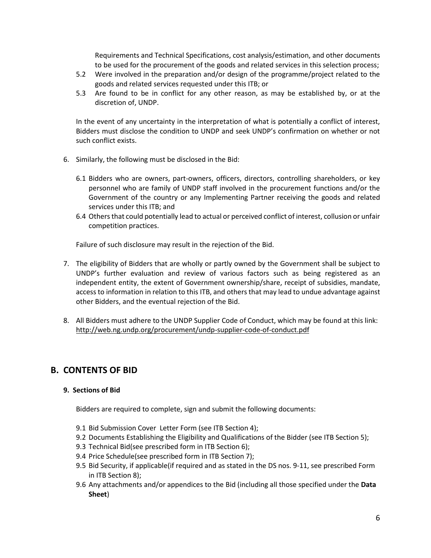Requirements and Technical Specifications, cost analysis/estimation, and other documents to be used for the procurement of the goods and related services in this selection process;

- 5.2 Were involved in the preparation and/or design of the programme/project related to the goods and related services requested under this ITB; or
- 5.3 Are found to be in conflict for any other reason, as may be established by, or at the discretion of, UNDP.

In the event of any uncertainty in the interpretation of what is potentially a conflict of interest, Bidders must disclose the condition to UNDP and seek UNDP's confirmation on whether or not such conflict exists.

- 6. Similarly, the following must be disclosed in the Bid:
	- 6.1 Bidders who are owners, part-owners, officers, directors, controlling shareholders, or key personnel who are family of UNDP staff involved in the procurement functions and/or the Government of the country or any Implementing Partner receiving the goods and related services under this ITB; and
	- 6.4 Others that could potentially lead to actual or perceived conflict of interest, collusion or unfair competition practices.

Failure of such disclosure may result in the rejection of the Bid.

- 7. The eligibility of Bidders that are wholly or partly owned by the Government shall be subject to UNDP's further evaluation and review of various factors such as being registered as an independent entity, the extent of Government ownership/share, receipt of subsidies, mandate, access to information in relation to this ITB, and others that may lead to undue advantage against other Bidders, and the eventual rejection of the Bid.
- 8. All Bidders must adhere to the UNDP Supplier Code of Conduct, which may be found at this link: <http://web.ng.undp.org/procurement/undp-supplier-code-of-conduct.pdf>

#### **B. CONTENTS OF BID**

#### **9. Sections of Bid**

Bidders are required to complete, sign and submit the following documents:

- 9.1 Bid Submission Cover Letter Form (see ITB Section 4);
- 9.2 Documents Establishing the Eligibility and Qualifications of the Bidder (see ITB Section 5);
- 9.3 Technical Bid(see prescribed form in ITB Section 6);
- 9.4 Price Schedule(see prescribed form in ITB Section 7);
- 9.5 Bid Security, if applicable(if required and as stated in the DS nos. 9-11, see prescribed Form in ITB Section 8);
- 9.6 Any attachments and/or appendices to the Bid (including all those specified under the **Data Sheet**)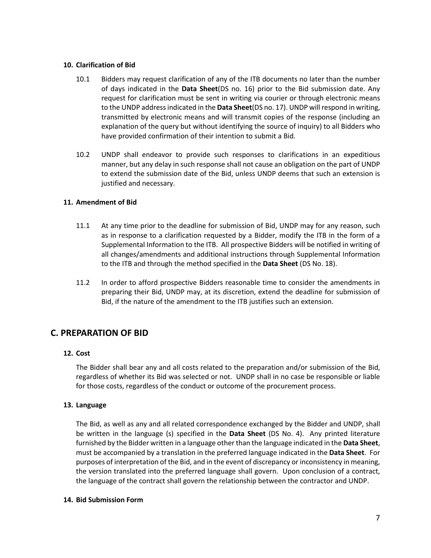#### **10. Clarification of Bid**

- 10.1 Bidders may request clarification of any of the ITB documents no later than the number of days indicated in the **Data Sheet**(DS no. 16) prior to the Bid submission date. Any request for clarification must be sent in writing via courier or through electronic means to the UNDP address indicated in the **Data Sheet**(DS no. 17). UNDP will respond in writing, transmitted by electronic means and will transmit copies of the response (including an explanation of the query but without identifying the source of inquiry) to all Bidders who have provided confirmation of their intention to submit a Bid.
- 10.2 UNDP shall endeavor to provide such responses to clarifications in an expeditious manner, but any delay in such response shall not cause an obligation on the part of UNDP to extend the submission date of the Bid, unless UNDP deems that such an extension is justified and necessary.

#### **11. Amendment of Bid**

- 11.1 At any time prior to the deadline for submission of Bid, UNDP may for any reason, such as in response to a clarification requested by a Bidder, modify the ITB in the form of a Supplemental Information to the ITB. All prospective Bidders will be notified in writing of all changes/amendments and additional instructions through Supplemental Information to the ITB and through the method specified in the **Data Sheet** (DS No. 18).
- 11.2 In order to afford prospective Bidders reasonable time to consider the amendments in preparing their Bid, UNDP may, at its discretion, extend the deadline for submission of Bid, if the nature of the amendment to the ITB justifies such an extension.

#### **C. PREPARATION OF BID**

#### **12. Cost**

The Bidder shall bear any and all costs related to the preparation and/or submission of the Bid, regardless of whether its Bid was selected or not. UNDP shall in no case be responsible or liable for those costs, regardless of the conduct or outcome of the procurement process.

#### **13. Language**

The Bid, as well as any and all related correspondence exchanged by the Bidder and UNDP, shall be written in the language (s) specified in the **Data Sheet** (DS No. 4). Any printed literature furnished by the Bidder written in a language other than the language indicated in the **Data Sheet**, must be accompanied by a translation in the preferred language indicated in the **Data Sheet**. For purposes of interpretation of the Bid, and in the event of discrepancy or inconsistency in meaning, the version translated into the preferred language shall govern. Upon conclusion of a contract, the language of the contract shall govern the relationship between the contractor and UNDP.

#### **14. Bid Submission Form**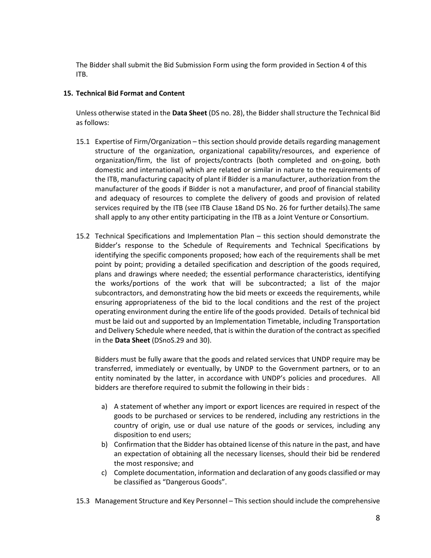The Bidder shall submit the Bid Submission Form using the form provided in Section 4 of this ITB.

#### **15. Technical Bid Format and Content**

Unless otherwise stated in the **Data Sheet** (DS no. 28), the Bidder shall structure the Technical Bid as follows:

- 15.1 Expertise of Firm/Organization this section should provide details regarding management structure of the organization, organizational capability/resources, and experience of organization/firm, the list of projects/contracts (both completed and on-going, both domestic and international) which are related or similar in nature to the requirements of the ITB, manufacturing capacity of plant if Bidder is a manufacturer, authorization from the manufacturer of the goods if Bidder is not a manufacturer, and proof of financial stability and adequacy of resources to complete the delivery of goods and provision of related services required by the ITB (see ITB Clause 18and DS No. 26 for further details).The same shall apply to any other entity participating in the ITB as a Joint Venture or Consortium.
- 15.2 Technical Specifications and Implementation Plan this section should demonstrate the Bidder's response to the Schedule of Requirements and Technical Specifications by identifying the specific components proposed; how each of the requirements shall be met point by point; providing a detailed specification and description of the goods required, plans and drawings where needed; the essential performance characteristics, identifying the works/portions of the work that will be subcontracted; a list of the major subcontractors, and demonstrating how the bid meets or exceeds the requirements, while ensuring appropriateness of the bid to the local conditions and the rest of the project operating environment during the entire life of the goods provided. Details of technical bid must be laid out and supported by an Implementation Timetable, including Transportation and Delivery Schedule where needed, that is within the duration of the contract as specified in the **Data Sheet** (DSnoS.29 and 30).

Bidders must be fully aware that the goods and related services that UNDP require may be transferred, immediately or eventually, by UNDP to the Government partners, or to an entity nominated by the latter, in accordance with UNDP's policies and procedures. All bidders are therefore required to submit the following in their bids :

- a) A statement of whether any import or export licences are required in respect of the goods to be purchased or services to be rendered, including any restrictions in the country of origin, use or dual use nature of the goods or services, including any disposition to end users;
- b) Confirmation that the Bidder has obtained license of this nature in the past, and have an expectation of obtaining all the necessary licenses, should their bid be rendered the most responsive; and
- c) Complete documentation, information and declaration of any goods classified or may be classified as "Dangerous Goods".
- 15.3 Management Structure and Key Personnel This section should include the comprehensive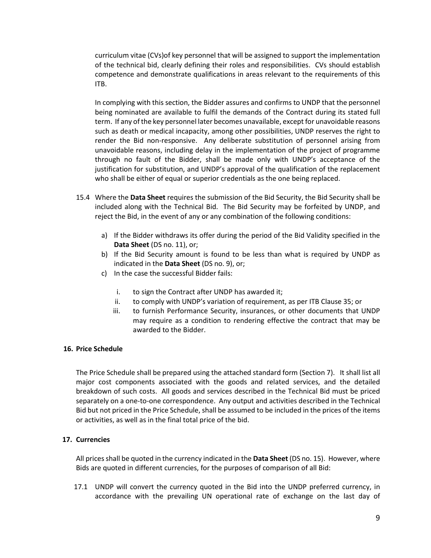curriculum vitae (CVs)of key personnel that will be assigned to support the implementation of the technical bid, clearly defining their roles and responsibilities. CVs should establish competence and demonstrate qualifications in areas relevant to the requirements of this ITB.

In complying with this section, the Bidder assures and confirms to UNDP that the personnel being nominated are available to fulfil the demands of the Contract during its stated full term. If any of the key personnel later becomes unavailable, except for unavoidable reasons such as death or medical incapacity, among other possibilities, UNDP reserves the right to render the Bid non-responsive. Any deliberate substitution of personnel arising from unavoidable reasons, including delay in the implementation of the project of programme through no fault of the Bidder, shall be made only with UNDP's acceptance of the justification for substitution, and UNDP's approval of the qualification of the replacement who shall be either of equal or superior credentials as the one being replaced.

- 15.4 Where the **Data Sheet** requires the submission of the Bid Security, the Bid Security shall be included along with the Technical Bid. The Bid Security may be forfeited by UNDP, and reject the Bid, in the event of any or any combination of the following conditions:
	- a) If the Bidder withdraws its offer during the period of the Bid Validity specified in the **Data Sheet** (DS no. 11), or;
	- b) If the Bid Security amount is found to be less than what is required by UNDP as indicated in the **Data Sheet** (DS no. 9), or;
	- c) In the case the successful Bidder fails:
		- i. to sign the Contract after UNDP has awarded it;
		- ii. to comply with UNDP's variation of requirement, as per ITB Clause 35; or
		- iii. to furnish Performance Security, insurances, or other documents that UNDP may require as a condition to rendering effective the contract that may be awarded to the Bidder.

#### **16. Price Schedule**

The Price Schedule shall be prepared using the attached standard form (Section 7). It shall list all major cost components associated with the goods and related services, and the detailed breakdown of such costs. All goods and services described in the Technical Bid must be priced separately on a one-to-one correspondence. Any output and activities described in the Technical Bid but not priced in the Price Schedule, shall be assumed to be included in the prices of the items or activities, as well as in the final total price of the bid.

#### **17. Currencies**

All prices shall be quoted in the currency indicated in the **Data Sheet** (DS no. 15). However, where Bids are quoted in different currencies, for the purposes of comparison of all Bid:

17.1 UNDP will convert the currency quoted in the Bid into the UNDP preferred currency, in accordance with the prevailing UN operational rate of exchange on the last day of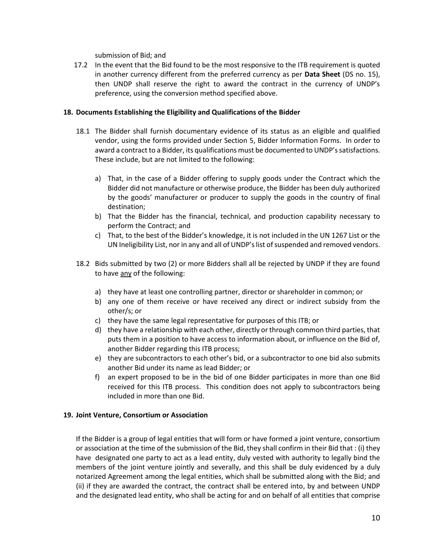submission of Bid; and

17.2 In the event that the Bid found to be the most responsive to the ITB requirement is quoted in another currency different from the preferred currency as per **Data Sheet** (DS no. 15), then UNDP shall reserve the right to award the contract in the currency of UNDP's preference, using the conversion method specified above.

#### **18. Documents Establishing the Eligibility and Qualifications of the Bidder**

- 18.1 The Bidder shall furnish documentary evidence of its status as an eligible and qualified vendor, using the forms provided under Section 5, Bidder Information Forms. In order to award a contract to a Bidder, its qualifications must be documented to UNDP's satisfactions. These include, but are not limited to the following:
	- a) That, in the case of a Bidder offering to supply goods under the Contract which the Bidder did not manufacture or otherwise produce, the Bidder has been duly authorized by the goods' manufacturer or producer to supply the goods in the country of final destination;
	- b) That the Bidder has the financial, technical, and production capability necessary to perform the Contract; and
	- c) That, to the best of the Bidder's knowledge, it is not included in the UN 1267 List or the UN Ineligibility List, nor in any and all of UNDP's list of suspended and removed vendors.
- 18.2 Bids submitted by two (2) or more Bidders shall all be rejected by UNDP if they are found to have any of the following:
	- a) they have at least one controlling partner, director or shareholder in common; or
	- b) any one of them receive or have received any direct or indirect subsidy from the other/s; or
	- c) they have the same legal representative for purposes of this ITB; or
	- d) they have a relationship with each other, directly or through common third parties, that puts them in a position to have access to information about, or influence on the Bid of, another Bidder regarding this ITB process;
	- e) they are subcontractors to each other's bid, or a subcontractor to one bid also submits another Bid under its name as lead Bidder; or
	- f) an expert proposed to be in the bid of one Bidder participates in more than one Bid received for this ITB process. This condition does not apply to subcontractors being included in more than one Bid.

#### **19. Joint Venture, Consortium or Association**

If the Bidder is a group of legal entities that will form or have formed a joint venture, consortium or association at the time of the submission of the Bid, they shall confirm in their Bid that : (i) they have designated one party to act as a lead entity, duly vested with authority to legally bind the members of the joint venture jointly and severally, and this shall be duly evidenced by a duly notarized Agreement among the legal entities, which shall be submitted along with the Bid; and (ii) if they are awarded the contract, the contract shall be entered into, by and between UNDP and the designated lead entity, who shall be acting for and on behalf of all entities that comprise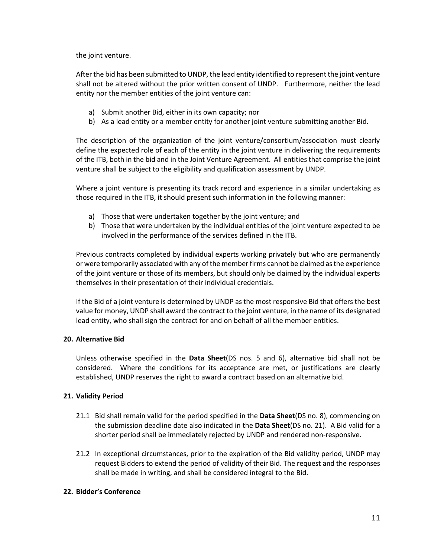the joint venture.

After the bid has been submitted to UNDP, the lead entity identified to represent the joint venture shall not be altered without the prior written consent of UNDP. Furthermore, neither the lead entity nor the member entities of the joint venture can:

- a) Submit another Bid, either in its own capacity; nor
- b) As a lead entity or a member entity for another joint venture submitting another Bid.

The description of the organization of the joint venture/consortium/association must clearly define the expected role of each of the entity in the joint venture in delivering the requirements of the ITB, both in the bid and in the Joint Venture Agreement. All entities that comprise the joint venture shall be subject to the eligibility and qualification assessment by UNDP.

Where a joint venture is presenting its track record and experience in a similar undertaking as those required in the ITB, it should present such information in the following manner:

- a) Those that were undertaken together by the joint venture; and
- b) Those that were undertaken by the individual entities of the joint venture expected to be involved in the performance of the services defined in the ITB.

Previous contracts completed by individual experts working privately but who are permanently or were temporarily associated with any of the member firms cannot be claimed as the experience of the joint venture or those of its members, but should only be claimed by the individual experts themselves in their presentation of their individual credentials.

If the Bid of a joint venture is determined by UNDP as the most responsive Bid that offers the best value for money, UNDP shall award the contract to the joint venture, in the name of its designated lead entity, who shall sign the contract for and on behalf of all the member entities.

#### **20. Alternative Bid**

Unless otherwise specified in the **Data Sheet**(DS nos. 5 and 6), alternative bid shall not be considered. Where the conditions for its acceptance are met, or justifications are clearly established, UNDP reserves the right to award a contract based on an alternative bid.

#### **21. Validity Period**

- 21.1 Bid shall remain valid for the period specified in the **Data Sheet**(DS no. 8), commencing on the submission deadline date also indicated in the **Data Sheet**(DS no. 21). A Bid valid for a shorter period shall be immediately rejected by UNDP and rendered non-responsive.
- 21.2 In exceptional circumstances, prior to the expiration of the Bid validity period, UNDP may request Bidders to extend the period of validity of their Bid. The request and the responses shall be made in writing, and shall be considered integral to the Bid.

#### **22. Bidder's Conference**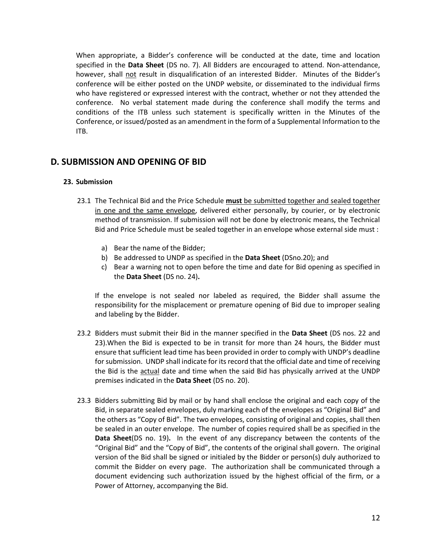When appropriate, a Bidder's conference will be conducted at the date, time and location specified in the **Data Sheet** (DS no. 7). All Bidders are encouraged to attend. Non-attendance, however, shall not result in disqualification of an interested Bidder. Minutes of the Bidder's conference will be either posted on the UNDP website, or disseminated to the individual firms who have registered or expressed interest with the contract, whether or not they attended the conference. No verbal statement made during the conference shall modify the terms and conditions of the ITB unless such statement is specifically written in the Minutes of the Conference, or issued/posted as an amendment in the form of a Supplemental Information to the ITB.

### **D. SUBMISSION AND OPENING OF BID**

#### **23. Submission**

- 23.1 The Technical Bid and the Price Schedule **must** be submitted together and sealed together in one and the same envelope, delivered either personally, by courier, or by electronic method of transmission. If submission will not be done by electronic means, the Technical Bid and Price Schedule must be sealed together in an envelope whose external side must :
	- a) Bear the name of the Bidder;
	- b) Be addressed to UNDP as specified in the **Data Sheet** (DSno.20); and
	- c) Bear a warning not to open before the time and date for Bid opening as specified in the **Data Sheet** (DS no. 24)**.**

If the envelope is not sealed nor labeled as required, the Bidder shall assume the responsibility for the misplacement or premature opening of Bid due to improper sealing and labeling by the Bidder.

- 23.2 Bidders must submit their Bid in the manner specified in the **Data Sheet** (DS nos. 22 and 23).When the Bid is expected to be in transit for more than 24 hours, the Bidder must ensure that sufficient lead time has been provided in order to comply with UNDP's deadline for submission. UNDP shall indicate for its record that the official date and time of receiving the Bid is the actual date and time when the said Bid has physically arrived at the UNDP premises indicated in the **Data Sheet** (DS no. 20).
- 23.3 Bidders submitting Bid by mail or by hand shall enclose the original and each copy of the Bid, in separate sealed envelopes, duly marking each of the envelopes as "Original Bid" and the others as "Copy of Bid". The two envelopes, consisting of original and copies, shall then be sealed in an outer envelope. The number of copies required shall be as specified in the **Data Sheet**(DS no. 19)**.** In the event of any discrepancy between the contents of the "Original Bid" and the "Copy of Bid", the contents of the original shall govern. The original version of the Bid shall be signed or initialed by the Bidder or person(s) duly authorized to commit the Bidder on every page. The authorization shall be communicated through a document evidencing such authorization issued by the highest official of the firm, or a Power of Attorney, accompanying the Bid.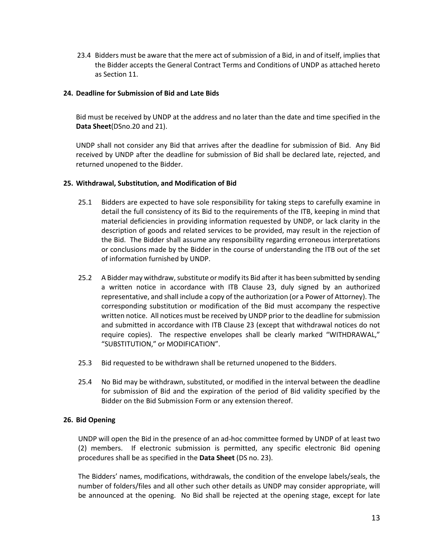23.4 Bidders must be aware that the mere act of submission of a Bid, in and of itself, implies that the Bidder accepts the General Contract Terms and Conditions of UNDP as attached hereto as Section 11.

#### **24. Deadline for Submission of Bid and Late Bids**

Bid must be received by UNDP at the address and no later than the date and time specified in the **Data Sheet**(DSno.20 and 21).

UNDP shall not consider any Bid that arrives after the deadline for submission of Bid. Any Bid received by UNDP after the deadline for submission of Bid shall be declared late, rejected, and returned unopened to the Bidder.

#### **25. Withdrawal, Substitution, and Modification of Bid**

- 25.1 Bidders are expected to have sole responsibility for taking steps to carefully examine in detail the full consistency of its Bid to the requirements of the ITB, keeping in mind that material deficiencies in providing information requested by UNDP, or lack clarity in the description of goods and related services to be provided, may result in the rejection of the Bid. The Bidder shall assume any responsibility regarding erroneous interpretations or conclusions made by the Bidder in the course of understanding the ITB out of the set of information furnished by UNDP.
- 25.2 A Bidder may withdraw, substitute or modify its Bid after it has been submitted by sending a written notice in accordance with ITB Clause 23, duly signed by an authorized representative, and shall include a copy of the authorization (or a Power of Attorney). The corresponding substitution or modification of the Bid must accompany the respective written notice. All notices must be received by UNDP prior to the deadline for submission and submitted in accordance with ITB Clause 23 (except that withdrawal notices do not require copies). The respective envelopes shall be clearly marked "WITHDRAWAL," "SUBSTITUTION," or MODIFICATION".
- 25.3 Bid requested to be withdrawn shall be returned unopened to the Bidders.
- 25.4 No Bid may be withdrawn, substituted, or modified in the interval between the deadline for submission of Bid and the expiration of the period of Bid validity specified by the Bidder on the Bid Submission Form or any extension thereof.

#### **26. Bid Opening**

UNDP will open the Bid in the presence of an ad-hoc committee formed by UNDP of at least two (2) members. If electronic submission is permitted, any specific electronic Bid opening procedures shall be as specified in the **Data Sheet** (DS no. 23).

The Bidders' names, modifications, withdrawals, the condition of the envelope labels/seals, the number of folders/files and all other such other details as UNDP may consider appropriate, will be announced at the opening. No Bid shall be rejected at the opening stage, except for late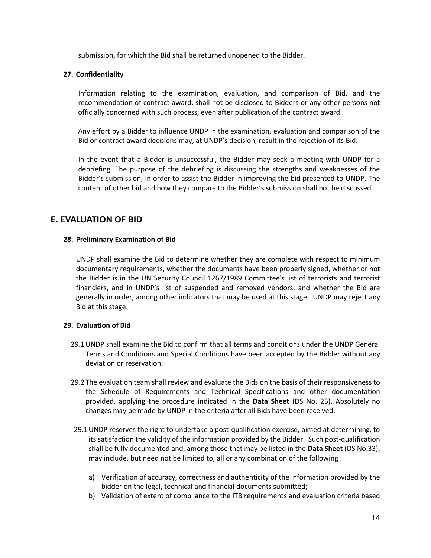submission, for which the Bid shall be returned unopened to the Bidder.

#### **27. Confidentiality**

Information relating to the examination, evaluation, and comparison of Bid, and the recommendation of contract award, shall not be disclosed to Bidders or any other persons not officially concerned with such process, even after publication of the contract award.

Any effort by a Bidder to influence UNDP in the examination, evaluation and comparison of the Bid or contract award decisions may, at UNDP's decision, result in the rejection of its Bid.

In the event that a Bidder is unsuccessful, the Bidder may seek a meeting with UNDP for a debriefing. The purpose of the debriefing is discussing the strengths and weaknesses of the Bidder's submission, in order to assist the Bidder in improving the bid presented to UNDP. The content of other bid and how they compare to the Bidder's submission shall not be discussed.

#### **E. EVALUATION OF BID**

#### **28. Preliminary Examination of Bid**

UNDP shall examine the Bid to determine whether they are complete with respect to minimum documentary requirements, whether the documents have been properly signed, whether or not the Bidder is in the UN Security Council 1267/1989 Committee's list of terrorists and terrorist financiers, and in UNDP's list of suspended and removed vendors, and whether the Bid are generally in order, among other indicators that may be used at this stage. UNDP may reject any Bid at this stage.

#### **29. Evaluation of Bid**

- 29.1UNDP shall examine the Bid to confirm that all terms and conditions under the UNDP General Terms and Conditions and Special Conditions have been accepted by the Bidder without any deviation or reservation.
- 29.2The evaluation team shall review and evaluate the Bids on the basis of their responsiveness to the Schedule of Requirements and Technical Specifications and other documentation provided, applying the procedure indicated in the **Data Sheet** (DS No. 25). Absolutely no changes may be made by UNDP in the criteria after all Bids have been received.
- 29.1UNDP reserves the right to undertake a post-qualification exercise, aimed at determining, to its satisfaction the validity of the information provided by the Bidder. Such post-qualification shall be fully documented and, among those that may be listed in the **Data Sheet** (DS No.33), may include, but need not be limited to, all or any combination of the following :
	- a) Verification of accuracy, correctness and authenticity of the information provided by the bidder on the legal, technical and financial documents submitted;
	- b) Validation of extent of compliance to the ITB requirements and evaluation criteria based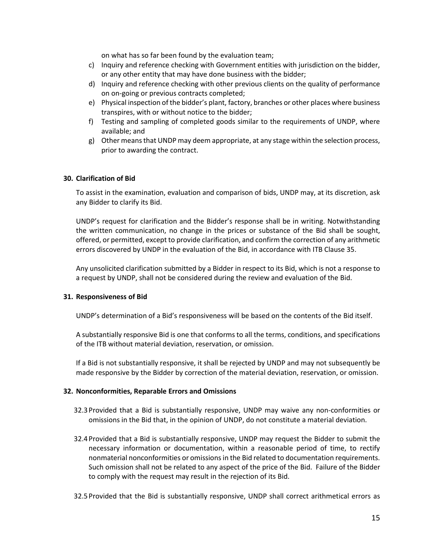on what has so far been found by the evaluation team;

- c) Inquiry and reference checking with Government entities with jurisdiction on the bidder, or any other entity that may have done business with the bidder;
- d) Inquiry and reference checking with other previous clients on the quality of performance on on-going or previous contracts completed;
- e) Physical inspection of the bidder's plant, factory, branches or other places where business transpires, with or without notice to the bidder;
- f) Testing and sampling of completed goods similar to the requirements of UNDP, where available; and
- g) Other means that UNDP may deem appropriate, at any stage within the selection process, prior to awarding the contract.

#### **30. Clarification of Bid**

To assist in the examination, evaluation and comparison of bids, UNDP may, at its discretion, ask any Bidder to clarify its Bid.

UNDP's request for clarification and the Bidder's response shall be in writing. Notwithstanding the written communication, no change in the prices or substance of the Bid shall be sought, offered, or permitted, except to provide clarification, and confirm the correction of any arithmetic errors discovered by UNDP in the evaluation of the Bid, in accordance with ITB Clause 35.

Any unsolicited clarification submitted by a Bidder in respect to its Bid, which is not a response to a request by UNDP, shall not be considered during the review and evaluation of the Bid.

#### **31. Responsiveness of Bid**

UNDP's determination of a Bid's responsiveness will be based on the contents of the Bid itself.

A substantially responsive Bid is one that conforms to all the terms, conditions, and specifications of the ITB without material deviation, reservation, or omission.

If a Bid is not substantially responsive, it shall be rejected by UNDP and may not subsequently be made responsive by the Bidder by correction of the material deviation, reservation, or omission.

#### **32. Nonconformities, Reparable Errors and Omissions**

- 32.3Provided that a Bid is substantially responsive, UNDP may waive any non-conformities or omissions in the Bid that, in the opinion of UNDP, do not constitute a material deviation.
- 32.4Provided that a Bid is substantially responsive, UNDP may request the Bidder to submit the necessary information or documentation, within a reasonable period of time, to rectify nonmaterial nonconformities or omissions in the Bid related to documentation requirements. Such omission shall not be related to any aspect of the price of the Bid. Failure of the Bidder to comply with the request may result in the rejection of its Bid.
- 32.5Provided that the Bid is substantially responsive, UNDP shall correct arithmetical errors as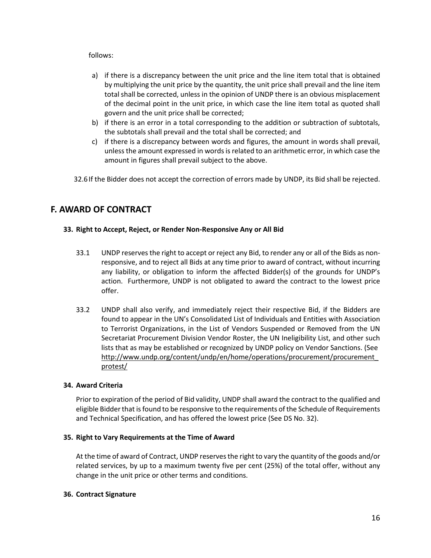#### follows:

- a) if there is a discrepancy between the unit price and the line item total that is obtained by multiplying the unit price by the quantity, the unit price shall prevail and the line item total shall be corrected, unless in the opinion of UNDP there is an obvious misplacement of the decimal point in the unit price, in which case the line item total as quoted shall govern and the unit price shall be corrected;
- b) if there is an error in a total corresponding to the addition or subtraction of subtotals, the subtotals shall prevail and the total shall be corrected; and
- c) if there is a discrepancy between words and figures, the amount in words shall prevail, unless the amount expressed in words is related to an arithmetic error, in which case the amount in figures shall prevail subject to the above.

32.6If the Bidder does not accept the correction of errors made by UNDP, its Bid shall be rejected.

### **F. AWARD OF CONTRACT**

#### **33. Right to Accept, Reject, or Render Non-Responsive Any or All Bid**

- 33.1 UNDP reserves the right to accept or reject any Bid, to render any or all of the Bids as nonresponsive, and to reject all Bids at any time prior to award of contract, without incurring any liability, or obligation to inform the affected Bidder(s) of the grounds for UNDP's action. Furthermore, UNDP is not obligated to award the contract to the lowest price offer.
- 33.2 UNDP shall also verify, and immediately reject their respective Bid, if the Bidders are found to appear in the UN's Consolidated List of Individuals and Entities with Association to Terrorist Organizations, in the List of Vendors Suspended or Removed from the UN Secretariat Procurement Division Vendor Roster, the UN Ineligibility List, and other such lists that as may be established or recognized by UNDP policy on Vendor Sanctions. (See [http://www.undp.org/content/undp/en/home/operations/procurement/procurement\\_](http://www.undp.org/content/undp/en/home/operations/procurement/procurement_protest/) [protest/](http://www.undp.org/content/undp/en/home/operations/procurement/procurement_protest/)

#### **34. Award Criteria**

Prior to expiration of the period of Bid validity, UNDP shall award the contract to the qualified and eligible Bidder that is found to be responsive to the requirements of the Schedule of Requirements and Technical Specification, and has offered the lowest price (See DS No. 32).

#### **35. Right to Vary Requirements at the Time of Award**

At the time of award of Contract, UNDP reserves the right to vary the quantity of the goods and/or related services, by up to a maximum twenty five per cent (25%) of the total offer, without any change in the unit price or other terms and conditions.

#### **36. Contract Signature**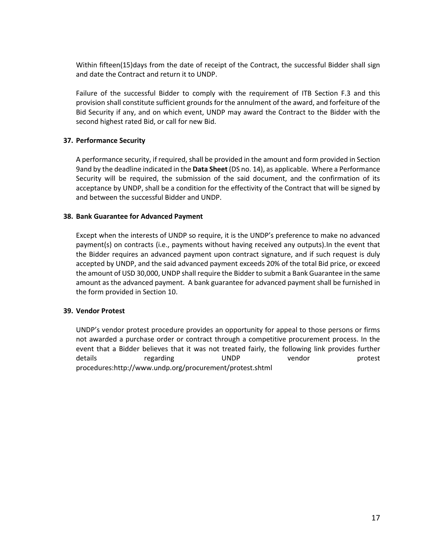Within fifteen(15)days from the date of receipt of the Contract, the successful Bidder shall sign and date the Contract and return it to UNDP.

Failure of the successful Bidder to comply with the requirement of ITB Section F.3 and this provision shall constitute sufficient grounds for the annulment of the award, and forfeiture of the Bid Security if any, and on which event, UNDP may award the Contract to the Bidder with the second highest rated Bid, or call for new Bid.

#### **37. Performance Security**

A performance security, if required, shall be provided in the amount and form provided in Section 9and by the deadline indicated in the **Data Sheet** (DS no. 14), as applicable. Where a Performance Security will be required, the submission of the said document, and the confirmation of its acceptance by UNDP, shall be a condition for the effectivity of the Contract that will be signed by and between the successful Bidder and UNDP.

#### **38. Bank Guarantee for Advanced Payment**

Except when the interests of UNDP so require, it is the UNDP's preference to make no advanced payment(s) on contracts (i.e., payments without having received any outputs).In the event that the Bidder requires an advanced payment upon contract signature, and if such request is duly accepted by UNDP, and the said advanced payment exceeds 20% of the total Bid price, or exceed the amount of USD 30,000, UNDP shall require the Bidder to submit a Bank Guarantee in the same amount as the advanced payment. A bank guarantee for advanced payment shall be furnished in the form provided in Section 10.

#### **39. Vendor Protest**

UNDP's vendor protest procedure provides an opportunity for appeal to those persons or firms not awarded a purchase order or contract through a competitive procurement process. In the event that a Bidder believes that it was not treated fairly, the following link provides further details regarding UNDP vendor protest procedures[:http://www.undp.org/procurement/protest.shtml](http://www.undp.org/procurement/protest.shtml)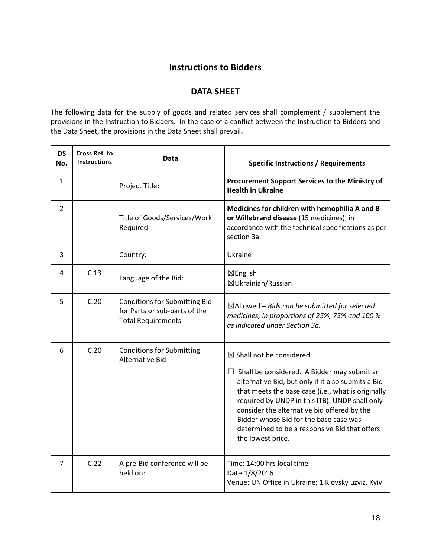## **Instructions to Bidders**

### **DATA SHEET**

The following data for the supply of goods and related services shall complement / supplement the provisions in the Instruction to Bidders. In the case of a conflict between the Instruction to Bidders and the Data Sheet, the provisions in the Data Sheet shall prevail**.** 

| <b>DS</b><br>No. | <b>Cross Ref. to</b><br><b>Instructions</b> | Data                                                                                               | <b>Specific Instructions / Requirements</b>                                                                                                                                                                                                                                                                                                                                                                            |
|------------------|---------------------------------------------|----------------------------------------------------------------------------------------------------|------------------------------------------------------------------------------------------------------------------------------------------------------------------------------------------------------------------------------------------------------------------------------------------------------------------------------------------------------------------------------------------------------------------------|
| $\mathbf{1}$     |                                             | Project Title:                                                                                     | Procurement Support Services to the Ministry of<br><b>Health in Ukraine</b>                                                                                                                                                                                                                                                                                                                                            |
| $\overline{2}$   |                                             | Title of Goods/Services/Work<br>Required:                                                          | Medicines for children with hemophilia A and B<br>or Willebrand disease (15 medicines), in<br>accordance with the technical specifications as per<br>section 3a.                                                                                                                                                                                                                                                       |
| 3                |                                             | Country:                                                                                           | Ukraine                                                                                                                                                                                                                                                                                                                                                                                                                |
| 4                | C.13                                        | Language of the Bid:                                                                               | $\boxtimes$ English<br>$\boxtimes$ Ukrainian/Russian                                                                                                                                                                                                                                                                                                                                                                   |
| 5                | C.20                                        | <b>Conditions for Submitting Bid</b><br>for Parts or sub-parts of the<br><b>Total Requirements</b> | $\boxtimes$ Allowed – Bids can be submitted for selected<br>medicines, in proportions of 25%, 75% and 100 %<br>as indicated under Section 3a.                                                                                                                                                                                                                                                                          |
| 6                | C.20                                        | <b>Conditions for Submitting</b><br><b>Alternative Bid</b>                                         | $\boxtimes$ Shall not be considered<br>$\Box$ Shall be considered. A Bidder may submit an<br>alternative Bid, but only if it also submits a Bid<br>that meets the base case (i.e., what is originally<br>required by UNDP in this ITB). UNDP shall only<br>consider the alternative bid offered by the<br>Bidder whose Bid for the base case was<br>determined to be a responsive Bid that offers<br>the lowest price. |
| 7                | C.22                                        | A pre-Bid conference will be<br>held on:                                                           | Time: 14:00 hrs local time<br>Date:1/8/2016<br>Venue: UN Office in Ukraine; 1 Klovsky uzviz, Kyiv                                                                                                                                                                                                                                                                                                                      |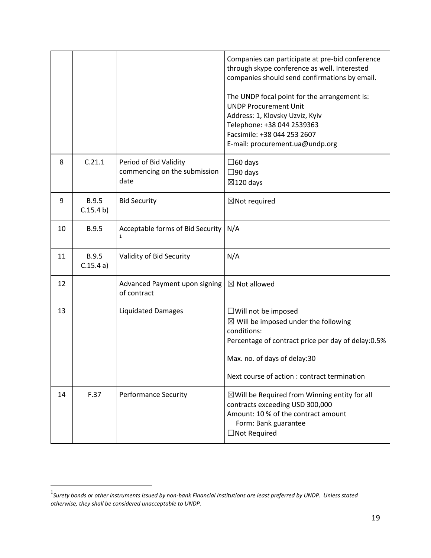|    |                           |                                                                | Companies can participate at pre-bid conference<br>through skype conference as well. Interested<br>companies should send confirmations by email.<br>The UNDP focal point for the arrangement is:<br><b>UNDP Procurement Unit</b><br>Address: 1, Klovsky Uzviz, Kyiv<br>Telephone: +38 044 2539363<br>Facsimile: +38 044 253 2607<br>E-mail: procurement.ua@undp.org |
|----|---------------------------|----------------------------------------------------------------|---------------------------------------------------------------------------------------------------------------------------------------------------------------------------------------------------------------------------------------------------------------------------------------------------------------------------------------------------------------------|
| 8  | C.21.1                    | Period of Bid Validity<br>commencing on the submission<br>date | $\Box$ 60 days<br>$\Box$ 90 days<br>$\boxtimes$ 120 days                                                                                                                                                                                                                                                                                                            |
| 9  | <b>B.9.5</b><br>C.15.4 b) | <b>Bid Security</b>                                            | $\boxtimes$ Not required                                                                                                                                                                                                                                                                                                                                            |
| 10 | <b>B.9.5</b>              | Acceptable forms of Bid Security<br>$\mathbf{1}$               | N/A                                                                                                                                                                                                                                                                                                                                                                 |
| 11 | <b>B.9.5</b><br>C.15.4a)  | Validity of Bid Security                                       | N/A                                                                                                                                                                                                                                                                                                                                                                 |
| 12 |                           | Advanced Payment upon signing<br>of contract                   | $\boxtimes$ Not allowed                                                                                                                                                                                                                                                                                                                                             |
| 13 |                           | <b>Liquidated Damages</b>                                      | □ Will not be imposed<br>$\boxtimes$ Will be imposed under the following<br>conditions:<br>Percentage of contract price per day of delay:0.5%<br>Max. no. of days of delay:30<br>Next course of action : contract termination                                                                                                                                       |
| 14 | F.37                      | <b>Performance Security</b>                                    | $\boxtimes$ Will be Required from Winning entity for all<br>contracts exceeding USD 300,000<br>Amount: 10 % of the contract amount<br>Form: Bank guarantee<br>$\Box$ Not Required                                                                                                                                                                                   |

<sup>1</sup> *Surety bonds or other instruments issued by non-bank Financial Institutions are least preferred by UNDP. Unless stated otherwise, they shall be considered unacceptable to UNDP.*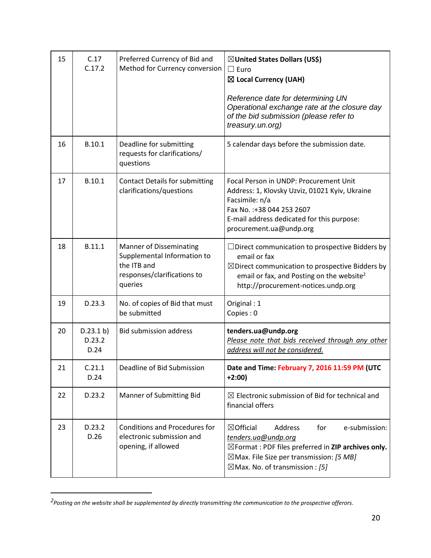| 15 | C.17<br>C.17.2              | Preferred Currency of Bid and<br>Method for Currency conversion                                                        | ⊠United States Dollars (US\$)<br>$\Box$ Euro<br>⊠ Local Currency (UAH)<br>Reference date for determining UN<br>Operational exchange rate at the closure day<br>of the bid submission (please refer to<br>treasury.un.org)                             |
|----|-----------------------------|------------------------------------------------------------------------------------------------------------------------|-------------------------------------------------------------------------------------------------------------------------------------------------------------------------------------------------------------------------------------------------------|
| 16 | B.10.1                      | Deadline for submitting<br>requests for clarifications/<br>questions                                                   | 5 calendar days before the submission date.                                                                                                                                                                                                           |
| 17 | B.10.1                      | <b>Contact Details for submitting</b><br>clarifications/questions                                                      | Focal Person in UNDP: Procurement Unit<br>Address: 1, Klovsky Uzviz, 01021 Kyiv, Ukraine<br>Facsimile: n/a<br>Fax No. : +38 044 253 2607<br>E-mail address dedicated for this purpose:<br>procurement.ua@undp.org                                     |
| 18 | B.11.1                      | <b>Manner of Disseminating</b><br>Supplemental Information to<br>the ITB and<br>responses/clarifications to<br>queries | $\Box$ Direct communication to prospective Bidders by<br>email or fax<br>$\boxtimes$ Direct communication to prospective Bidders by<br>email or fax, and Posting on the website <sup>2</sup><br>http://procurement-notices.undp.org                   |
| 19 | D.23.3                      | No. of copies of Bid that must<br>be submitted                                                                         | Original: 1<br>Copies: 0                                                                                                                                                                                                                              |
| 20 | D.23.1 b)<br>D.23.2<br>D.24 | <b>Bid submission address</b>                                                                                          | tenders.ua@undp.org<br>Please note that bids received through any other<br>address will not be considered.                                                                                                                                            |
| 21 | C.21.1<br>D.24              | Deadline of Bid Submission                                                                                             | Date and Time: February 7, 2016 11:59 PM (UTC<br>$+2:00)$                                                                                                                                                                                             |
| 22 | D.23.2                      | Manner of Submitting Bid                                                                                               | $\boxtimes$ Electronic submission of Bid for technical and<br>financial offers                                                                                                                                                                        |
| 23 | D.23.2<br>D.26              | <b>Conditions and Procedures for</b><br>electronic submission and<br>opening, if allowed                               | $\boxtimes$ Official<br>Address<br>for<br>e-submission:<br>tenders.ua@undp.org<br>$\boxtimes$ Format : PDF files preferred in ZIP archives only.<br>$\boxtimes$ Max. File Size per transmission: [5 MB]<br>$\boxtimes$ Max. No. of transmission : [5] |

*<sup>2</sup> Posting on the website shall be supplemented by directly transmitting the communication to the prospective offerors.*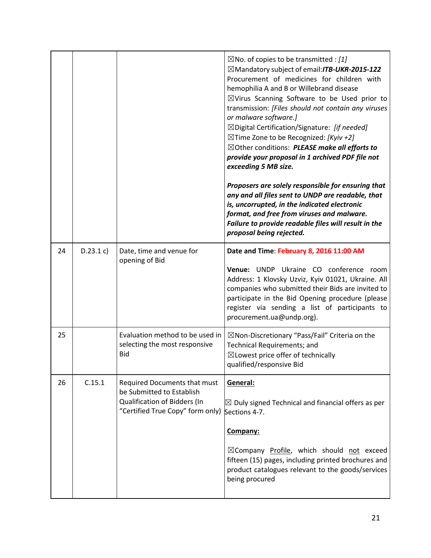|    |           |                                                                                | $\boxtimes$ No. of copies to be transmitted : [1]<br>$\boxtimes$ Mandatory subject of email: <b>ITB-UKR-2015-122</b><br>Procurement of medicines for children with<br>hemophilia A and B or Willebrand disease<br>$\boxtimes$ Virus Scanning Software to be Used prior to<br>transmission: [Files should not contain any viruses<br>or malware software.]<br>$\boxtimes$ Digital Certification/Signature: [if needed]<br>$\boxtimes$ Time Zone to be Recognized: [Kyiv +2]<br>⊠Other conditions: PLEASE make all efforts to<br>provide your proposal in 1 archived PDF file not<br>exceeding 5 MB size.<br>Proposers are solely responsible for ensuring that<br>any and all files sent to UNDP are readable, that<br>is, uncorrupted, in the indicated electronic<br>format, and free from viruses and malware.<br>Failure to provide readable files will result in the<br>proposal being rejected. |
|----|-----------|--------------------------------------------------------------------------------|------------------------------------------------------------------------------------------------------------------------------------------------------------------------------------------------------------------------------------------------------------------------------------------------------------------------------------------------------------------------------------------------------------------------------------------------------------------------------------------------------------------------------------------------------------------------------------------------------------------------------------------------------------------------------------------------------------------------------------------------------------------------------------------------------------------------------------------------------------------------------------------------------|
| 24 | D.23.1 c) | Date, time and venue for                                                       | Date and Time: February 8, 2016 11:00 AM                                                                                                                                                                                                                                                                                                                                                                                                                                                                                                                                                                                                                                                                                                                                                                                                                                                             |
|    |           | opening of Bid                                                                 | Venue: UNDP Ukraine CO conference<br>room<br>Address: 1 Klovsky Uzviz, Kyiv 01021, Ukraine. All<br>companies who submitted their Bids are invited to<br>participate in the Bid Opening procedure (please<br>register via sending a list of participants to<br>procurement.ua@undp.org).                                                                                                                                                                                                                                                                                                                                                                                                                                                                                                                                                                                                              |
| 25 |           | Evaluation method to be used in<br>selecting the most responsive<br><b>Bid</b> | $\boxtimes$ Non-Discretionary "Pass/Fail" Criteria on the<br>Technical Requirements; and<br>$\boxtimes$ Lowest price offer of technically<br>qualified/responsive Bid                                                                                                                                                                                                                                                                                                                                                                                                                                                                                                                                                                                                                                                                                                                                |
| 26 | C.15.1    | Required Documents that must<br>be Submitted to Establish                      | General:                                                                                                                                                                                                                                                                                                                                                                                                                                                                                                                                                                                                                                                                                                                                                                                                                                                                                             |
|    |           | Qualification of Bidders (In<br>"Certified True Copy" form only)               | $\boxtimes$ Duly signed Technical and financial offers as per<br>Sections 4-7.                                                                                                                                                                                                                                                                                                                                                                                                                                                                                                                                                                                                                                                                                                                                                                                                                       |
|    |           |                                                                                | Company:                                                                                                                                                                                                                                                                                                                                                                                                                                                                                                                                                                                                                                                                                                                                                                                                                                                                                             |
|    |           |                                                                                | $\boxtimes$ Company Profile, which should not exceed<br>fifteen (15) pages, including printed brochures and<br>product catalogues relevant to the goods/services<br>being procured                                                                                                                                                                                                                                                                                                                                                                                                                                                                                                                                                                                                                                                                                                                   |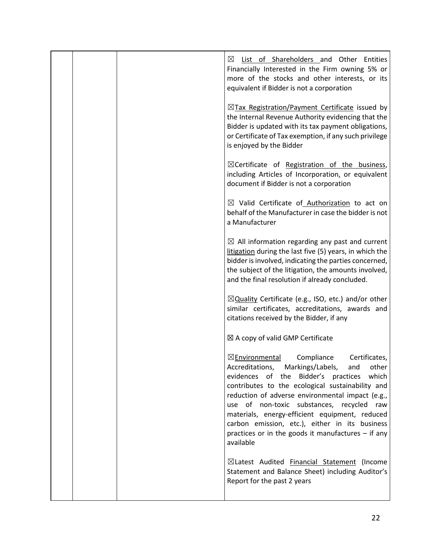|  | ⊠<br><b>List of Shareholders and Other Entities</b><br>Financially Interested in the Firm owning 5% or<br>more of the stocks and other interests, or its<br>equivalent if Bidder is not a corporation                                                                                                                                                                                                                                                                                       |
|--|---------------------------------------------------------------------------------------------------------------------------------------------------------------------------------------------------------------------------------------------------------------------------------------------------------------------------------------------------------------------------------------------------------------------------------------------------------------------------------------------|
|  | $\boxtimes$ Tax Registration/Payment Certificate issued by<br>the Internal Revenue Authority evidencing that the<br>Bidder is updated with its tax payment obligations,<br>or Certificate of Tax exemption, if any such privilege<br>is enjoyed by the Bidder                                                                                                                                                                                                                               |
|  | $\boxtimes$ Certificate of Registration of the business,<br>including Articles of Incorporation, or equivalent<br>document if Bidder is not a corporation                                                                                                                                                                                                                                                                                                                                   |
|  | $\boxtimes$ Valid Certificate of Authorization to act on<br>behalf of the Manufacturer in case the bidder is not<br>a Manufacturer                                                                                                                                                                                                                                                                                                                                                          |
|  | $\boxtimes$ All information regarding any past and current<br>litigation during the last five (5) years, in which the<br>bidder is involved, indicating the parties concerned,<br>the subject of the litigation, the amounts involved,<br>and the final resolution if already concluded.                                                                                                                                                                                                    |
|  | $\boxtimes$ Quality Certificate (e.g., ISO, etc.) and/or other<br>similar certificates, accreditations, awards and<br>citations received by the Bidder, if any                                                                                                                                                                                                                                                                                                                              |
|  | ⊠ A copy of valid GMP Certificate                                                                                                                                                                                                                                                                                                                                                                                                                                                           |
|  | ⊠Environmental<br>Compliance<br>Certificates,<br>Accreditations, Markings/Labels,<br>and<br>other<br>evidences<br>Bidder's<br>which<br>of<br>the<br>practices<br>contributes to the ecological sustainability and<br>reduction of adverse environmental impact (e.g.,<br>use of non-toxic substances, recycled raw<br>materials, energy-efficient equipment, reduced<br>carbon emission, etc.), either in its business<br>practices or in the goods it manufactures $-$ if any<br>available |
|  | ⊠Latest Audited Financial Statement (Income<br>Statement and Balance Sheet) including Auditor's<br>Report for the past 2 years                                                                                                                                                                                                                                                                                                                                                              |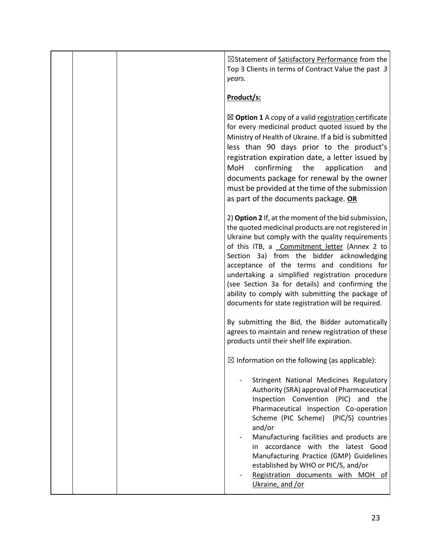☒Statement of Satisfactory Performance from the Top 3 Clients in terms of Contract Value the past *3 years.*

### **Product/s:**

☒ **Option 1** A copy of a valid registration certificate for every medicinal product quoted issued by the Ministry of Health of Ukraine. If a bid is submitted less than 90 days prior to the product's registration expiration date, a letter issued by MoH confirming the application and documents package for renewal by the owner must be provided at the time of the submission as part of the documents package. **OR**

2) **Option 2** If, at the moment of the bid submission, the quoted medicinal products are not registered in Ukraine but comply with the quality requirements of this ITB, a Commitment letter (Annex 2 to Section 3a) from the bidder acknowledging acceptance of the terms and conditions for undertaking a simplified registration procedure (see Section 3a for details) and confirming the ability to comply with submitting the package of documents for state registration will be required.

By submitting the Bid, the Bidder automatically agrees to maintain and renew registration of these products until their shelf life expiration.

 $\boxtimes$  Information on the following (as applicable):

Stringent National Medicines Regulatory Authority (SRA) approval of Pharmaceutical Inspection Convention (PIC) and the Pharmaceutical Inspection Co-operation Scheme (PIC Scheme) (PIC/S) countries and/or

Manufacturing facilities and products are in accordance with the latest Good Manufacturing Practice (GMP) Guidelines established by WHO or PIC/S, and/or

Registration documents with MOH of Ukraine, and /or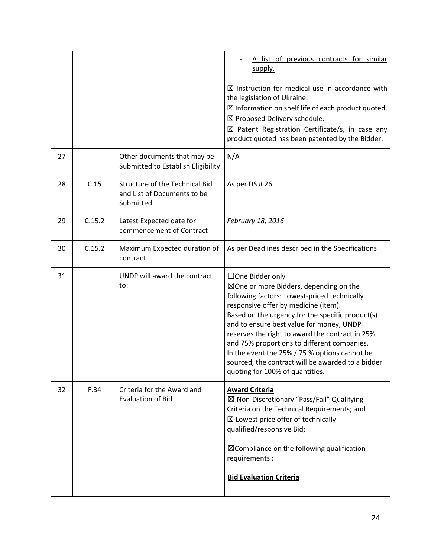|    |        |                                                                            | A list of previous contracts for similar<br>supply.                                                                                                                                                                                                                                                                                                                                                                                                                                                            |
|----|--------|----------------------------------------------------------------------------|----------------------------------------------------------------------------------------------------------------------------------------------------------------------------------------------------------------------------------------------------------------------------------------------------------------------------------------------------------------------------------------------------------------------------------------------------------------------------------------------------------------|
|    |        |                                                                            | $\boxtimes$ Instruction for medical use in accordance with<br>the legislation of Ukraine.<br>$\boxtimes$ Information on shelf life of each product quoted.<br>⊠ Proposed Delivery schedule.<br>$\boxtimes$ Patent Registration Certificate/s, in case any<br>product quoted has been patented by the Bidder.                                                                                                                                                                                                   |
| 27 |        | Other documents that may be<br>Submitted to Establish Eligibility          | N/A                                                                                                                                                                                                                                                                                                                                                                                                                                                                                                            |
| 28 | C.15   | Structure of the Technical Bid<br>and List of Documents to be<br>Submitted | As per DS # 26.                                                                                                                                                                                                                                                                                                                                                                                                                                                                                                |
| 29 | C.15.2 | Latest Expected date for<br>commencement of Contract                       | February 18, 2016                                                                                                                                                                                                                                                                                                                                                                                                                                                                                              |
| 30 | C.15.2 | Maximum Expected duration of<br>contract                                   | As per Deadlines described in the Specifications                                                                                                                                                                                                                                                                                                                                                                                                                                                               |
| 31 |        | UNDP will award the contract<br>to:                                        | $\Box$ One Bidder only<br>$\boxtimes$ One or more Bidders, depending on the<br>following factors: lowest-priced technically<br>responsive offer by medicine (item).<br>Based on the urgency for the specific product(s)<br>and to ensure best value for money, UNDP<br>reserves the right to award the contract in 25%<br>and 75% proportions to different companies.<br>In the event the 25% / 75 % options cannot be<br>sourced, the contract will be awarded to a bidder<br>quoting for 100% of quantities. |
| 32 | F.34   | Criteria for the Award and<br><b>Evaluation of Bid</b>                     | <b>Award Criteria</b><br>$\boxtimes$ Non-Discretionary "Pass/Fail" Qualifying<br>Criteria on the Technical Requirements; and<br>⊠ Lowest price offer of technically<br>qualified/responsive Bid;<br>$\boxtimes$ Compliance on the following qualification<br>requirements :<br><b>Bid Evaluation Criteria</b>                                                                                                                                                                                                  |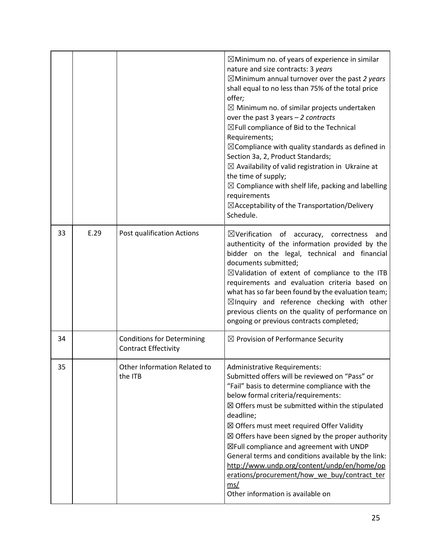|    |      |                                                           | $\boxtimes$ Minimum no. of years of experience in similar<br>nature and size contracts: 3 years<br>$\boxtimes$ Minimum annual turnover over the past 2 years<br>shall equal to no less than 75% of the total price<br>offer;<br>$\boxtimes$ Minimum no. of similar projects undertaken<br>over the past 3 years $-2$ contracts<br>$\boxtimes$ Full compliance of Bid to the Technical<br>Requirements;<br>$\boxtimes$ Compliance with quality standards as defined in<br>Section 3a, 2, Product Standards;<br>$\boxtimes$ Availability of valid registration in Ukraine at<br>the time of supply;<br>$\boxtimes$ Compliance with shelf life, packing and labelling<br>requirements<br>$\boxtimes$ Acceptability of the Transportation/Delivery<br>Schedule. |
|----|------|-----------------------------------------------------------|-------------------------------------------------------------------------------------------------------------------------------------------------------------------------------------------------------------------------------------------------------------------------------------------------------------------------------------------------------------------------------------------------------------------------------------------------------------------------------------------------------------------------------------------------------------------------------------------------------------------------------------------------------------------------------------------------------------------------------------------------------------|
| 33 | E.29 | Post qualification Actions                                | $\boxtimes$ Verification of accuracy, correctness<br>and<br>authenticity of the information provided by the<br>bidder on the legal, technical and financial<br>documents submitted;<br>$\boxtimes$ Validation of extent of compliance to the ITB<br>requirements and evaluation criteria based on<br>what has so far been found by the evaluation team;<br>$\boxtimes$ Inquiry and reference checking with other<br>previous clients on the quality of performance on<br>ongoing or previous contracts completed;                                                                                                                                                                                                                                           |
| 34 |      | <b>Conditions for Determining</b><br>Contract Effectivity | $\boxtimes$ Provision of Performance Security                                                                                                                                                                                                                                                                                                                                                                                                                                                                                                                                                                                                                                                                                                               |
| 35 |      | Other Information Related to<br>the ITB                   | <b>Administrative Requirements:</b><br>Submitted offers will be reviewed on "Pass" or<br>"Fail" basis to determine compliance with the<br>below formal criteria/requirements:<br>$\boxtimes$ Offers must be submitted within the stipulated<br>deadline;<br>⊠ Offers must meet required Offer Validity<br>$\boxtimes$ Offers have been signed by the proper authority<br>⊠Full compliance and agreement with UNDP<br>General terms and conditions available by the link:<br>http://www.undp.org/content/undp/en/home/op<br>erations/procurement/how we buy/contract ter<br>ms/<br>Other information is available on                                                                                                                                         |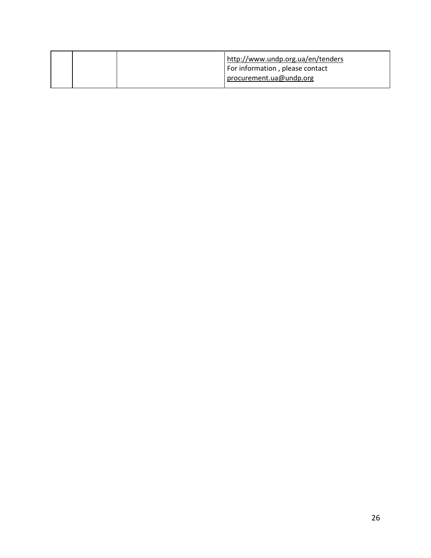|  | http://www.undp.org.ua/en/tenders<br>For information, please contact<br>procurement.ua@undp.org |
|--|-------------------------------------------------------------------------------------------------|
|  |                                                                                                 |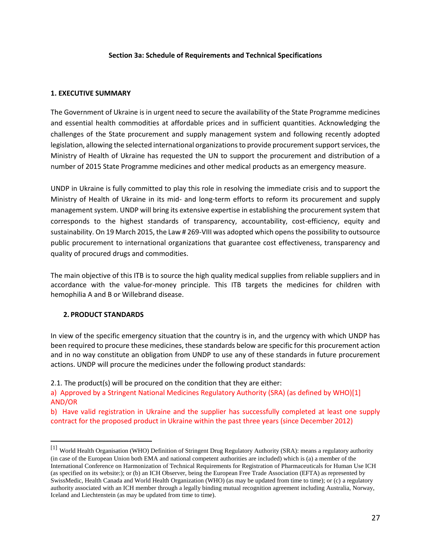#### **Section 3a: Schedule of Requirements and Technical Specifications**

#### **1. EXECUTIVE SUMMARY**

The Government of Ukraine is in urgent need to secure the availability of the State Programme medicines and essential health commodities at affordable prices and in sufficient quantities. Acknowledging the challenges of the State procurement and supply management system and following recently adopted legislation, allowing the selected international organizations to provide procurement support services, the Ministry of Health of Ukraine has requested the UN to support the procurement and distribution of a number of 2015 State Programme medicines and other medical products as an emergency measure.

UNDP in Ukraine is fully committed to play this role in resolving the immediate crisis and to support the Ministry of Health of Ukraine in its mid- and long-term efforts to reform its procurement and supply management system. UNDP will bring its extensive expertise in establishing the procurement system that corresponds to the highest standards of transparency, accountability, cost-efficiency, equity and sustainability. On 19 March 2015, the Law # 269-VIII was adopted which opens the possibility to outsource public procurement to international organizations that guarantee cost effectiveness, transparency and quality of procured drugs and commodities.

The main objective of this ITB is to source the high quality medical supplies from reliable suppliers and in accordance with the value-for-money principle. This ITB targets the medicines for children with hemophilia A and B or Willebrand disease.

#### **2. PRODUCT STANDARDS**

 $\overline{a}$ 

In view of the specific emergency situation that the country is in, and the urgency with which UNDP has been required to procure these medicines, these standards below are specific for this procurement action and in no way constitute an obligation from UNDP to use any of these standards in future procurement actions. UNDP will procure the medicines under the following product standards:

2.1. The product(s) will be procured on the condition that they are either:

b) Have valid registration in Ukraine and the supplier has successfully completed at least one supply contract for the proposed product in Ukraine within the past three years (since December 2012)

a) Approved by a Stringent National Medicines Regulatory Authority (SRA) (as defined by WHO)[1] AND/OR

<sup>[1]</sup> World Health Organisation (WHO) Definition of Stringent Drug Regulatory Authority (SRA): means a regulatory authority (in case of the European Union both EMA and national competent authorities are included) which is (a) a member of the International Conference on Harmonization of Technical Requirements for Registration of Pharmaceuticals for Human Use ICH (as specified on its website:); or (b) an ICH Observer, being the European Free Trade Association (EFTA) as represented by SwissMedic, Health Canada and World Health Organization (WHO) (as may be updated from time to time); or (c) a regulatory authority associated with an ICH member through a legally binding mutual recognition agreement including Australia, Norway, Iceland and Liechtenstein (as may be updated from time to time).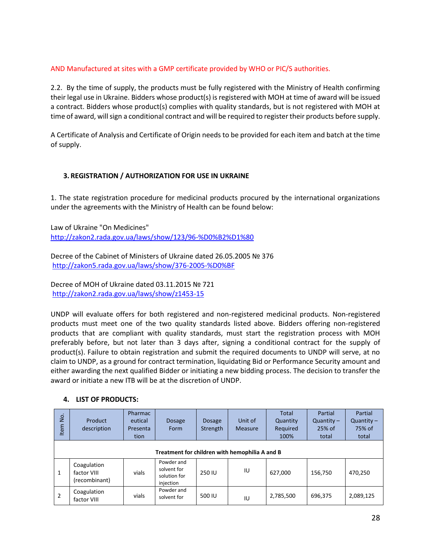#### AND Manufactured at sites with a GMP certificate provided by WHO or PIC/S authorities.

2.2. By the time of supply, the products must be fully registered with the Ministry of Health confirming their legal use in Ukraine. Bidders whose product(s) is registered with MOH at time of award will be issued a contract. Bidders whose product(s) complies with quality standards, but is not registered with MOH at time of award, will sign a conditional contract and will be required to register their products before supply.

A Certificate of Analysis and Certificate of Origin needs to be provided for each item and batch at the time of supply.

#### **3. REGISTRATION / AUTHORIZATION FOR USE IN UKRAINE**

1. The state registration procedure for medicinal products procured by the international organizations under the agreements with the Ministry of Health can be found below:

Law of Ukraine "On Medicines" <http://zakon2.rada.gov.ua/laws/show/123/96-%D0%B2%D1%80>

Decree of the Cabinet of Ministers of Ukraine dated 26.05.2005 № 376 <http://zakon5.rada.gov.ua/laws/show/376-2005-%D0%BF>

Decree of MOH of Ukraine dated 03.11.2015 № 721 <http://zakon2.rada.gov.ua/laws/show/z1453-15>

UNDP will evaluate offers for both registered and non-registered medicinal products. Non-registered products must meet one of the two quality standards listed above. Bidders offering non-registered products that are compliant with quality standards, must start the registration process with MOH preferably before, but not later than 3 days after, signing a conditional contract for the supply of product(s). Failure to obtain registration and submit the required documents to UNDP will serve, at no claim to UNDP, as a ground for contract termination, liquidating Bid or Performance Security amount and either awarding the next qualified Bidder or initiating a new bidding process. The decision to transfer the award or initiate a new ITB will be at the discretion of UNDP.

| ġ<br>Item    | Product<br>description                         | Pharmac<br>eutical<br>Presenta<br>tion | <b>Dosage</b><br>Form                                  | <b>Dosage</b><br>Strength | Unit of<br>Measure | <b>Total</b><br>Quantity<br>Required<br>100% | Partial<br>Quantity $-$<br>$25%$ of<br>total | Partial<br>Quantity $-$<br>75% of<br>total |
|--------------|------------------------------------------------|----------------------------------------|--------------------------------------------------------|---------------------------|--------------------|----------------------------------------------|----------------------------------------------|--------------------------------------------|
|              | Treatment for children with hemophilia A and B |                                        |                                                        |                           |                    |                                              |                                              |                                            |
| $\mathbf{1}$ | Coagulation<br>factor VIII<br>(recombinant)    | vials                                  | Powder and<br>solvent for<br>solution for<br>injection | 250 IU                    | IU                 | 627,000                                      | 156,750                                      | 470,250                                    |
| 2            | Coagulation<br>factor VIII                     | vials                                  | Powder and<br>solvent for                              | 500 IU                    | IU                 | 2,785,500                                    | 696,375                                      | 2,089,125                                  |

#### **4. LIST OF PRODUCTS:**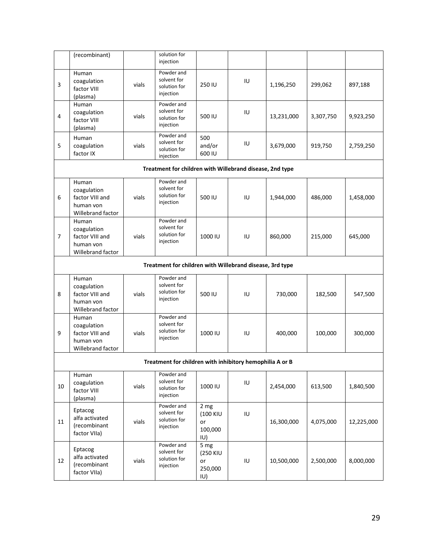|                | (recombinant)                                                             |       | solution for<br>injection                                |                                                 |    |            |           |            |
|----------------|---------------------------------------------------------------------------|-------|----------------------------------------------------------|-------------------------------------------------|----|------------|-----------|------------|
| 3              | Human<br>coagulation<br>factor VIII<br>(plasma)                           | vials | Powder and<br>solvent for<br>solution for<br>injection   | 250 IU                                          | IU | 1,196,250  | 299,062   | 897,188    |
| 4              | Human<br>coagulation<br>factor VIII<br>(plasma)                           | vials | Powder and<br>solvent for<br>solution for<br>injection   | 500 IU                                          | IU | 13,231,000 | 3,307,750 | 9,923,250  |
| 5              | Human<br>coagulation<br>factor IX                                         | vials | Powder and<br>solvent for<br>solution for<br>injection   | 500<br>and/or<br>600 IU                         | IU | 3,679,000  | 919,750   | 2,759,250  |
|                |                                                                           |       | Treatment for children with Willebrand disease, 2nd type |                                                 |    |            |           |            |
| 6              | Human<br>coagulation<br>factor VIII and<br>human von<br>Willebrand factor | vials | Powder and<br>solvent for<br>solution for<br>injection   | 500 IU                                          | IU | 1,944,000  | 486,000   | 1,458,000  |
| $\overline{7}$ | Human<br>coagulation<br>factor VIII and<br>human von<br>Willebrand factor | vials | Powder and<br>solvent for<br>solution for<br>injection   | 1000 IU                                         | IU | 860,000    | 215,000   | 645,000    |
|                |                                                                           |       | Treatment for children with Willebrand disease, 3rd type |                                                 |    |            |           |            |
| 8              | Human<br>coagulation<br>factor VIII and<br>human von<br>Willebrand factor | vials | Powder and<br>solvent for<br>solution for<br>injection   | 500 IU                                          | IU | 730,000    | 182,500   | 547,500    |
| 9              | Human<br>coagulation<br>factor VIII and<br>human von<br>Willebrand factor | vials | Powder and<br>solvent for<br>solution for<br>injection   | 1000 IU                                         | IU | 400,000    | 100,000   | 300,000    |
|                |                                                                           |       | Treatment for children with inhibitory hemophilia A or B |                                                 |    |            |           |            |
| 10             | Human<br>coagulation<br>factor VIII<br>(plasma)                           | vials | Powder and<br>solvent for<br>solution for<br>injection   | 1000 IU                                         | IU | 2,454,000  | 613,500   | 1,840,500  |
| 11             | Eptacog<br>alfa activated<br>(recombinant<br>factor VIIa)                 | vials | Powder and<br>solvent for<br>solution for<br>injection   | 2 mg<br>(100 KIU<br>or<br>100,000<br>IU)        | IU | 16,300,000 | 4,075,000 | 12,225,000 |
| 12             | Eptacog<br>alfa activated<br>(recombinant<br>factor VIIa)                 | vials | Powder and<br>solvent for<br>solution for<br>injection   | 5 mg<br><b>(250 KIU</b><br>or<br>250,000<br>IU) | IU | 10,500,000 | 2,500,000 | 8,000,000  |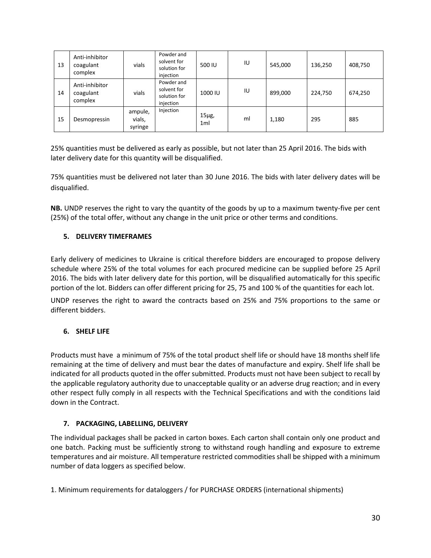| 13 | Anti-inhibitor<br>coagulant<br>complex | vials                        | Powder and<br>solvent for<br>solution for<br>injection | 500 IU                       | IU | 545,000 | 136,250 | 408,750 |
|----|----------------------------------------|------------------------------|--------------------------------------------------------|------------------------------|----|---------|---------|---------|
| 14 | Anti-inhibitor<br>coagulant<br>complex | vials                        | Powder and<br>solvent for<br>solution for<br>injection | 1000 IU                      | IU | 899,000 | 224,750 | 674,250 |
| 15 | Desmopressin                           | ampule,<br>vials,<br>syringe | Injection                                              | $15\mu$ g,<br>1 <sub>m</sub> | ml | 1,180   | 295     | 885     |

25% quantities must be delivered as early as possible, but not later than 25 April 2016. The bids with later delivery date for this quantity will be disqualified.

75% quantities must be delivered not later than 30 June 2016. The bids with later delivery dates will be disqualified.

**NB.** UNDP reserves the right to vary the quantity of the goods by up to a maximum twenty-five per cent (25%) of the total offer, without any change in the unit price or other terms and conditions.

#### **5. DELIVERY TIMEFRAMES**

Early delivery of medicines to Ukraine is critical therefore bidders are encouraged to propose delivery schedule where 25% of the total volumes for each procured medicine can be supplied before 25 April 2016. The bids with later delivery date for this portion, will be disqualified automatically for this specific portion of the lot. Bidders can offer different pricing for 25, 75 and 100 % of the quantities for each lot.

UNDP reserves the right to award the contracts based on 25% and 75% proportions to the same or different bidders.

#### **6. SHELF LIFE**

Products must have a minimum of 75% of the total product shelf life or should have 18 months shelf life remaining at the time of delivery and must bear the dates of manufacture and expiry. Shelf life shall be indicated for all products quoted in the offer submitted. Products must not have been subject to recall by the applicable regulatory authority due to unacceptable quality or an adverse drug reaction; and in every other respect fully comply in all respects with the Technical Specifications and with the conditions laid down in the Contract.

#### **7. PACKAGING, LABELLING, DELIVERY**

The individual packages shall be packed in carton boxes. Each carton shall contain only one product and one batch. Packing must be sufficiently strong to withstand rough handling and exposure to extreme temperatures and air moisture. All temperature restricted commodities shall be shipped with a minimum number of data loggers as specified below.

1. Minimum requirements for dataloggers / for PURCHASE ORDERS (international shipments)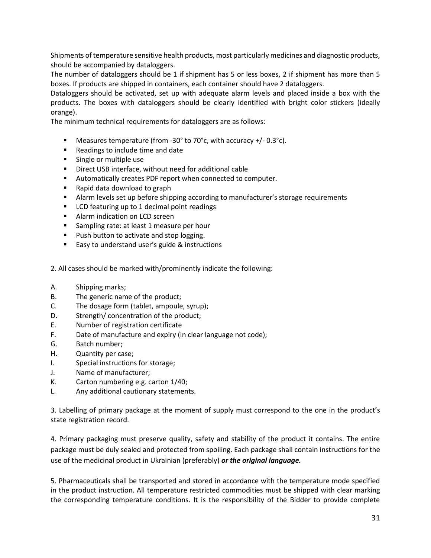Shipments of temperature sensitive health products, most particularly medicines and diagnostic products, should be accompanied by dataloggers.

The number of dataloggers should be 1 if shipment has 5 or less boxes, 2 if shipment has more than 5 boxes. If products are shipped in containers, each container should have 2 dataloggers.

Dataloggers should be activated, set up with adequate alarm levels and placed inside a box with the products. The boxes with dataloggers should be clearly identified with bright color stickers (ideally orange).

The minimum technical requirements for dataloggers are as follows:

- **Measures temperature (from -30° to 70°c, with accuracy +/-0.3°c).**
- Readings to include time and date
- **Single or multiple use**
- Direct USB interface, without need for additional cable
- Automatically creates PDF report when connected to computer.
- Rapid data download to graph
- Alarm levels set up before shipping according to manufacturer's storage requirements
- **EXECU FEAT LCD** featuring up to 1 decimal point readings
- **Alarm indication on LCD screen**
- Sampling rate: at least 1 measure per hour
- **Push button to activate and stop logging.**
- Easy to understand user's guide & instructions
- 2. All cases should be marked with/prominently indicate the following:
- A. Shipping marks;
- B. The generic name of the product;
- C. The dosage form (tablet, ampoule, syrup);
- D. Strength/ concentration of the product;
- E. Number of registration certificate
- F. Date of manufacture and expiry (in clear language not code);
- G. Batch number;
- H. Quantity per case;
- I. Special instructions for storage;
- J. Name of manufacturer;
- K. Carton numbering e.g. carton 1/40;
- L. Any additional cautionary statements.

3. Labelling of primary package at the moment of supply must correspond to the one in the product's state registration record.

4. Primary packaging must preserve quality, safety and stability of the product it contains. The entire package must be duly sealed and protected from spoiling. Each package shall contain instructions for the use of the medicinal product in Ukrainian (preferably) *or the original language.*

5. Pharmaceuticals shall be transported and stored in accordance with the temperature mode specified in the product instruction. All temperature restricted commodities must be shipped with clear marking the corresponding temperature conditions. It is the responsibility of the Bidder to provide complete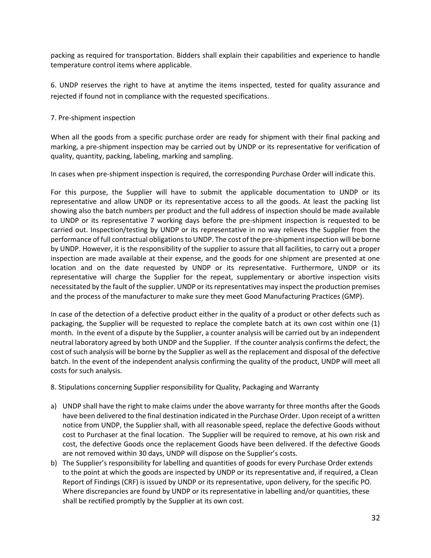packing as required for transportation. Bidders shall explain their capabilities and experience to handle temperature control items where applicable.

6. UNDP reserves the right to have at anytime the items inspected, tested for quality assurance and rejected if found not in compliance with the requested specifications.

#### 7. Pre-shipment inspection

When all the goods from a specific purchase order are ready for shipment with their final packing and marking, a pre-shipment inspection may be carried out by UNDP or its representative for verification of quality, quantity, packing, labeling, marking and sampling.

In cases when pre-shipment inspection is required, the corresponding Purchase Order will indicate this.

For this purpose, the Supplier will have to submit the applicable documentation to UNDP or its representative and allow UNDP or its representative access to all the goods. At least the packing list showing also the batch numbers per product and the full address of inspection should be made available to UNDP or its representative 7 working days before the pre-shipment inspection is requested to be carried out. Inspection/testing by UNDP or its representative in no way relieves the Supplier from the performance of full contractual obligations to UNDP. The cost of the pre-shipment inspection will be borne by UNDP. However, it is the responsibility of the supplier to assure that all facilities, to carry out a proper inspection are made available at their expense, and the goods for one shipment are presented at one location and on the date requested by UNDP or its representative. Furthermore, UNDP or its representative will charge the Supplier for the repeat, supplementary or abortive inspection visits necessitated by the fault of the supplier. UNDP or its representatives may inspect the production premises and the process of the manufacturer to make sure they meet Good Manufacturing Practices (GMP).

In case of the detection of a defective product either in the quality of a product or other defects such as packaging, the Supplier will be requested to replace the complete batch at its own cost within one (1) month. In the event of a dispute by the Supplier, a counter analysis will be carried out by an independent neutral laboratory agreed by both UNDP and the Supplier. If the counter analysis confirms the defect, the cost of such analysis will be borne by the Supplier as well as the replacement and disposal of the defective batch. In the event of the independent analysis confirming the quality of the product, UNDP will meet all costs for such analysis.

8. Stipulations concerning Supplier responsibility for Quality, Packaging and Warranty

- a) UNDP shall have the right to make claims under the above warranty for three months after the Goods have been delivered to the final destination indicated in the Purchase Order. Upon receipt of a written notice from UNDP, the Supplier shall, with all reasonable speed, replace the defective Goods without cost to Purchaser at the final location. The Supplier will be required to remove, at his own risk and cost, the defective Goods once the replacement Goods have been delivered. If the defective Goods are not removed within 30 days, UNDP will dispose on the Supplier's costs.
- b) The Supplier's responsibility for labelling and quantities of goods for every Purchase Order extends to the point at which the goods are inspected by UNDP or its representative and, if required, a Clean Report of Findings (CRF) is issued by UNDP or its representative, upon delivery, for the specific PO. Where discrepancies are found by UNDP or its representative in labelling and/or quantities, these shall be rectified promptly by the Supplier at its own cost.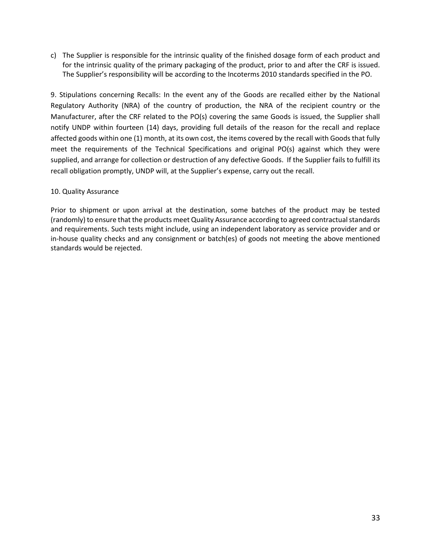c) The Supplier is responsible for the intrinsic quality of the finished dosage form of each product and for the intrinsic quality of the primary packaging of the product, prior to and after the CRF is issued. The Supplier's responsibility will be according to the Incoterms 2010 standards specified in the PO.

9. Stipulations concerning Recalls: In the event any of the Goods are recalled either by the National Regulatory Authority (NRA) of the country of production, the NRA of the recipient country or the Manufacturer, after the CRF related to the PO(s) covering the same Goods is issued, the Supplier shall notify UNDP within fourteen (14) days, providing full details of the reason for the recall and replace affected goods within one (1) month, at its own cost, the items covered by the recall with Goods that fully meet the requirements of the Technical Specifications and original PO(s) against which they were supplied, and arrange for collection or destruction of any defective Goods. If the Supplier fails to fulfill its recall obligation promptly, UNDP will, at the Supplier's expense, carry out the recall.

#### 10. Quality Assurance

Prior to shipment or upon arrival at the destination, some batches of the product may be tested (randomly) to ensure that the products meet Quality Assurance according to agreed contractual standards and requirements. Such tests might include, using an independent laboratory as service provider and or in-house quality checks and any consignment or batch(es) of goods not meeting the above mentioned standards would be rejected.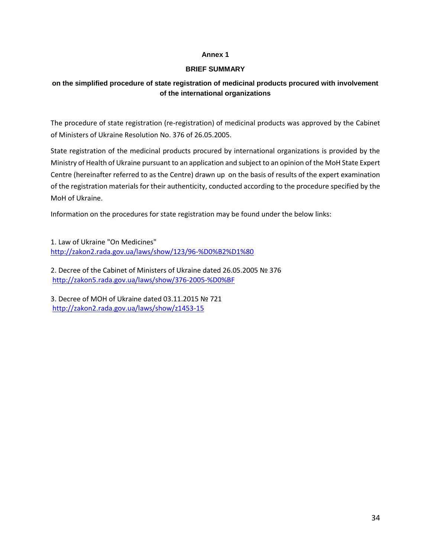#### **Annex 1**

#### **BRIEF SUMMARY**

#### **on the simplified procedure of state registration of medicinal products procured with involvement of the international organizations**

The procedure of state registration (re-registration) of medicinal products was approved by the Cabinet of Ministers of Ukraine Resolution No. 376 of 26.05.2005.

State registration of the medicinal products procured by international organizations is provided by the Ministry of Health of Ukraine pursuant to an application and subject to an opinion of the MoH State Expert Centre (hereinafter referred to as the Centre) drawn up on the basis of results of the expert examination of the registration materials for their authenticity, conducted according to the procedure specified by the MoH of Ukraine.

Information on the procedures for state registration may be found under the below links:

1. Law of Ukraine "On Medicines" <http://zakon2.rada.gov.ua/laws/show/123/96-%D0%B2%D1%80>

2. Decree of the Cabinet of Ministers of Ukraine dated 26.05.2005 № 376 <http://zakon5.rada.gov.ua/laws/show/376-2005-%D0%BF>

3. Decree of MOH of Ukraine dated 03.11.2015 № 721 <http://zakon2.rada.gov.ua/laws/show/z1453-15>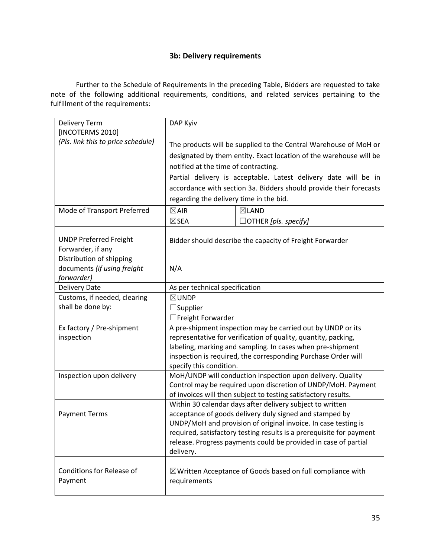### **3b: Delivery requirements**

Further to the Schedule of Requirements in the preceding Table, Bidders are requested to take note of the following additional requirements, conditions, and related services pertaining to the fulfillment of the requirements:

| <b>Delivery Term</b>               | DAP Kyiv                                                                                                                  |                                                                       |  |  |  |
|------------------------------------|---------------------------------------------------------------------------------------------------------------------------|-----------------------------------------------------------------------|--|--|--|
| [INCOTERMS 2010]                   |                                                                                                                           |                                                                       |  |  |  |
| (Pls. link this to price schedule) |                                                                                                                           | The products will be supplied to the Central Warehouse of MoH or      |  |  |  |
|                                    |                                                                                                                           | designated by them entity. Exact location of the warehouse will be    |  |  |  |
|                                    | notified at the time of contracting.                                                                                      |                                                                       |  |  |  |
|                                    |                                                                                                                           | Partial delivery is acceptable. Latest delivery date will be in       |  |  |  |
|                                    |                                                                                                                           | accordance with section 3a. Bidders should provide their forecasts    |  |  |  |
|                                    | regarding the delivery time in the bid.                                                                                   |                                                                       |  |  |  |
| Mode of Transport Preferred        | $\boxtimes$ AIR                                                                                                           | ⊠LAND                                                                 |  |  |  |
|                                    | $\boxtimes$ SEA                                                                                                           | $\Box$ OTHER [pls. specify]                                           |  |  |  |
|                                    |                                                                                                                           |                                                                       |  |  |  |
| <b>UNDP Preferred Freight</b>      |                                                                                                                           | Bidder should describe the capacity of Freight Forwarder              |  |  |  |
| Forwarder, if any                  |                                                                                                                           |                                                                       |  |  |  |
| Distribution of shipping           |                                                                                                                           |                                                                       |  |  |  |
| documents (if using freight        | N/A                                                                                                                       |                                                                       |  |  |  |
| forwarder)<br><b>Delivery Date</b> | As per technical specification                                                                                            |                                                                       |  |  |  |
| Customs, if needed, clearing       | ⊠UNDP                                                                                                                     |                                                                       |  |  |  |
| shall be done by:                  | $\Box$ Supplier                                                                                                           |                                                                       |  |  |  |
|                                    | $\Box$ Freight Forwarder                                                                                                  |                                                                       |  |  |  |
| Ex factory / Pre-shipment          |                                                                                                                           | A pre-shipment inspection may be carried out by UNDP or its           |  |  |  |
| inspection                         |                                                                                                                           | representative for verification of quality, quantity, packing,        |  |  |  |
|                                    |                                                                                                                           | labeling, marking and sampling. In cases when pre-shipment            |  |  |  |
|                                    |                                                                                                                           | inspection is required, the corresponding Purchase Order will         |  |  |  |
|                                    | specify this condition.                                                                                                   |                                                                       |  |  |  |
| Inspection upon delivery           |                                                                                                                           | MoH/UNDP will conduction inspection upon delivery. Quality            |  |  |  |
|                                    |                                                                                                                           | Control may be required upon discretion of UNDP/MoH. Payment          |  |  |  |
|                                    |                                                                                                                           | of invoices will then subject to testing satisfactory results.        |  |  |  |
|                                    |                                                                                                                           | Within 30 calendar days after delivery subject to written             |  |  |  |
| <b>Payment Terms</b>               | acceptance of goods delivery duly signed and stamped by<br>UNDP/MoH and provision of original invoice. In case testing is |                                                                       |  |  |  |
|                                    |                                                                                                                           | required, satisfactory testing results is a prerequisite for payment  |  |  |  |
|                                    | release. Progress payments could be provided in case of partial                                                           |                                                                       |  |  |  |
|                                    | delivery.                                                                                                                 |                                                                       |  |  |  |
|                                    |                                                                                                                           |                                                                       |  |  |  |
| Conditions for Release of          |                                                                                                                           | $\boxtimes$ Written Acceptance of Goods based on full compliance with |  |  |  |
| Payment                            | requirements                                                                                                              |                                                                       |  |  |  |
|                                    |                                                                                                                           |                                                                       |  |  |  |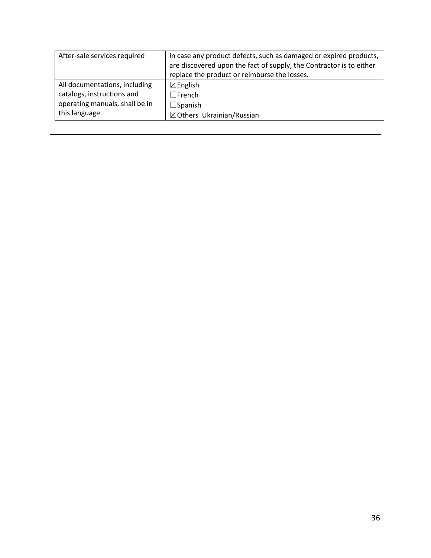| After-sale services required   | In case any product defects, such as damaged or expired products,   |
|--------------------------------|---------------------------------------------------------------------|
|                                | are discovered upon the fact of supply, the Contractor is to either |
|                                | replace the product or reimburse the losses.                        |
| All documentations, including  | $\boxtimes$ English                                                 |
| catalogs, instructions and     | $\Box$ French                                                       |
| operating manuals, shall be in | $\Box$ Spanish                                                      |
| this language                  | ⊠Others Ukrainian/Russian                                           |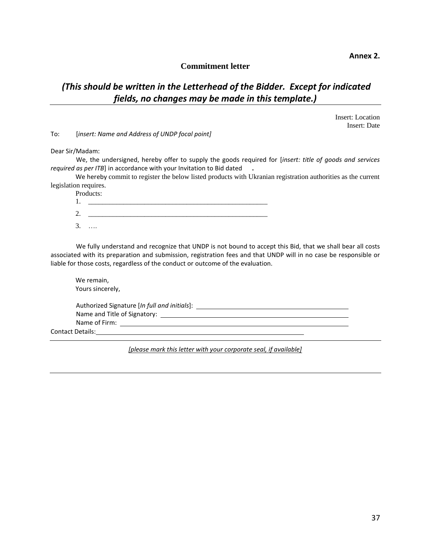**Annex 2.**

#### **Commitment letter**

## *(This should be written in the Letterhead of the Bidder. Except for indicated fields, no changes may be made in this template.)*

Insert: Location Insert: Date

To: [*insert: Name and Address of UNDP focal point]*

Dear Sir/Madam:

We, the undersigned, hereby offer to supply the goods required for [*insert: title of goods and services required as per ITB*] in accordance with your Invitation to Bid dated **.**

We hereby commit to register the below listed products with Ukranian registration authorities as the current legislation requires.

| Products: |
|-----------|
|           |
|           |
| .         |

We fully understand and recognize that UNDP is not bound to accept this Bid, that we shall bear all costs associated with its preparation and submission, registration fees and that UNDP will in no case be responsible or liable for those costs, regardless of the conduct or outcome of the evaluation.

| We remain,<br>Yours sincerely,               |  |
|----------------------------------------------|--|
| Authorized Signature [In full and initials]: |  |
|                                              |  |
| Name of Firm:                                |  |
| <b>Contact Details:</b>                      |  |

*[please mark this letter with your corporate seal, if available]*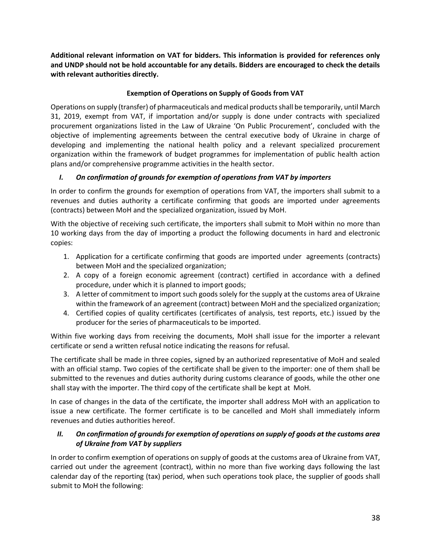**Additional relevant information on VAT for bidders. This information is provided for references only and UNDP should not be hold accountable for any details. Bidders are encouraged to check the details with relevant authorities directly.** 

#### **Exemption of Operations on Supply of Goods from VAT**

Operations on supply (transfer) of pharmaceuticals and medical products shall be temporarily, until March 31, 2019, exempt from VAT, if importation and/or supply is done under contracts with specialized procurement organizations listed in the Law of Ukraine 'On Public Procurement', concluded with the objective of implementing agreements between the central executive body of Ukraine in charge of developing and implementing the national health policy and a relevant specialized procurement organization within the framework of budget programmes for implementation of public health action plans and/or comprehensive programme activities in the health sector.

#### *I. On confirmation of grounds for exemption of operations from VAT by importers*

In order to confirm the grounds for exemption of operations from VAT, the importers shall submit to a revenues and duties authority a certificate confirming that goods are imported under agreements (contracts) between MoH and the specialized organization, issued by MoH.

With the objective of receiving such certificate, the importers shall submit to MoH within no more than 10 working days from the day of importing a product the following documents in hard and electronic copies:

- 1. Application for a certificate confirming that goods are imported under agreements (contracts) between MoH and the specialized organization;
- 2. A copy of a foreign economic agreement (contract) certified in accordance with a defined procedure, under which it is planned to import goods;
- 3. A letter of commitment to import such goods solely for the supply at the customs area of Ukraine within the framework of an agreement (contract) between MoH and the specialized organization;
- 4. Certified copies of quality certificates (certificates of analysis, test reports, etc.) issued by the producer for the series of pharmaceuticals to be imported.

Within five working days from receiving the documents, MoH shall issue for the importer a relevant certificate or send a written refusal notice indicating the reasons for refusal.

The certificate shall be made in three copies, signed by an authorized representative of MoH and sealed with an official stamp. Two copies of the certificate shall be given to the importer: one of them shall be submitted to the revenues and duties authority during customs clearance of goods, while the other one shall stay with the importer. The third copy of the certificate shall be kept at MoH.

In case of changes in the data of the certificate, the importer shall address MoH with an application to issue a new certificate. The former certificate is to be cancelled and MoH shall immediately inform revenues and duties authorities hereof.

#### *II. On confirmation of grounds for exemption of operations on supply of goods at the customs area of Ukraine from VAT by suppliers*

In order to confirm exemption of operations on supply of goods at the customs area of Ukraine from VAT, carried out under the agreement (contract), within no more than five working days following the last calendar day of the reporting (tax) period, when such operations took place, the supplier of goods shall submit to MoH the following: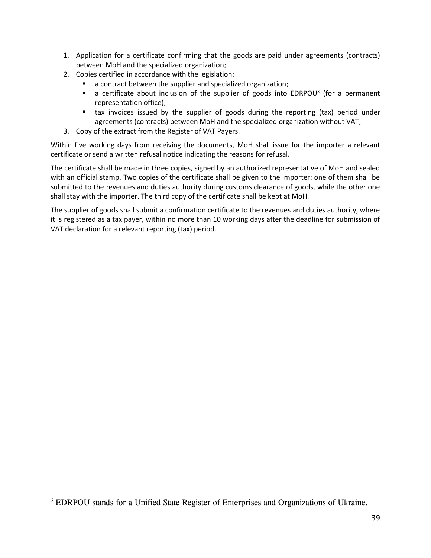- 1. Application for a certificate confirming that the goods are paid under agreements (contracts) between MoH and the specialized organization;
- 2. Copies certified in accordance with the legislation:
	- a contract between the supplier and specialized organization;
	- $\blacksquare$  a certificate about inclusion of the supplier of goods into EDRPOU<sup>3</sup> (for a permanent representation office);
	- tax invoices issued by the supplier of goods during the reporting (tax) period under agreements (contracts) between MoH and the specialized organization without VAT;
- 3. Copy of the extract from the Register of VAT Payers.

Within five working days from receiving the documents, MoH shall issue for the importer a relevant certificate or send a written refusal notice indicating the reasons for refusal.

The certificate shall be made in three copies, signed by an authorized representative of MoH and sealed with an official stamp. Two copies of the certificate shall be given to the importer: one of them shall be submitted to the revenues and duties authority during customs clearance of goods, while the other one shall stay with the importer. The third copy of the certificate shall be kept at MoH.

The supplier of goods shall submit a confirmation certificate to the revenues and duties authority, where it is registered as a tax payer, within no more than 10 working days after the deadline for submission of VAT declaration for a relevant reporting (tax) period.

<sup>&</sup>lt;sup>3</sup> EDRPOU stands for a Unified State Register of Enterprises and Organizations of Ukraine.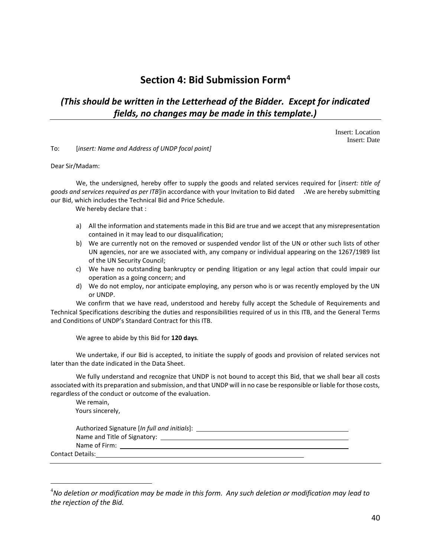# **Section 4: Bid Submission Form<sup>4</sup>**

# *(This should be written in the Letterhead of the Bidder. Except for indicated fields, no changes may be made in this template.)*

Insert: Location Insert: Date

To: [*insert: Name and Address of UNDP focal point]*

Dear Sir/Madam:

We, the undersigned, hereby offer to supply the goods and related services required for [*insert: title of goods and services required as per ITB*]in accordance with your Invitation to Bid dated **.**We are hereby submitting our Bid, which includes the Technical Bid and Price Schedule.

We hereby declare that :

- a) All the information and statements made in this Bid are true and we accept that any misrepresentation contained in it may lead to our disqualification;
- b) We are currently not on the removed or suspended vendor list of the UN or other such lists of other UN agencies, nor are we associated with, any company or individual appearing on the 1267/1989 list of the UN Security Council;
- c) We have no outstanding bankruptcy or pending litigation or any legal action that could impair our operation as a going concern; and
- d) We do not employ, nor anticipate employing, any person who is or was recently employed by the UN or UNDP.

We confirm that we have read, understood and hereby fully accept the Schedule of Requirements and Technical Specifications describing the duties and responsibilities required of us in this ITB, and the General Terms and Conditions of UNDP's Standard Contract for this ITB.

We agree to abide by this Bid for **120 days***.* 

We undertake, if our Bid is accepted, to initiate the supply of goods and provision of related services not later than the date indicated in the Data Sheet.

We fully understand and recognize that UNDP is not bound to accept this Bid, that we shall bear all costs associated with its preparation and submission, and that UNDP will in no case be responsible or liable for those costs, regardless of the conduct or outcome of the evaluation.

We remain, Yours sincerely,

| Authorized Signature [In full and initials]:                           |  |
|------------------------------------------------------------------------|--|
| Name and Title of Signatory: Name of Signatory and Title of Signatory: |  |
| Name of Firm:                                                          |  |
| <b>Contact Details:</b>                                                |  |
|                                                                        |  |

<sup>4</sup>*No deletion or modification may be made in this form. Any such deletion or modification may lead to the rejection of the Bid.*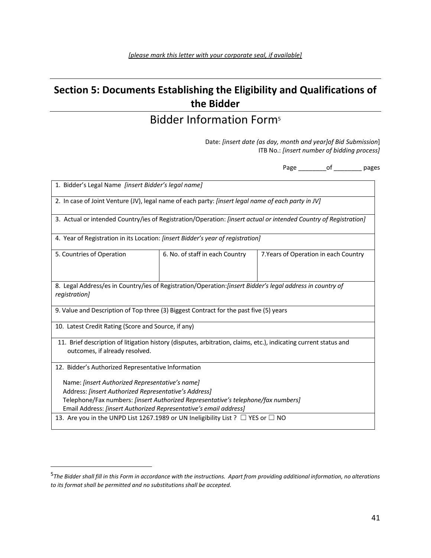# **Section 5: Documents Establishing the Eligibility and Qualifications of the Bidder**

# Bidder Information Form<sup>5</sup>

Date: *[insert date (as day, month and year]of Bid Submission*] ITB No.: *[insert number of bidding process]*

Page \_\_\_\_\_\_\_\_of \_\_\_\_\_\_\_\_ pages

| 1. Bidder's Legal Name [insert Bidder's legal name]                                                                                                                                                                                                                |                                 |                                       |  |  |  |  |  |  |  |  |  |
|--------------------------------------------------------------------------------------------------------------------------------------------------------------------------------------------------------------------------------------------------------------------|---------------------------------|---------------------------------------|--|--|--|--|--|--|--|--|--|
| 2. In case of Joint Venture (JV), legal name of each party: [insert legal name of each party in JV]                                                                                                                                                                |                                 |                                       |  |  |  |  |  |  |  |  |  |
| 3. Actual or intended Country/ies of Registration/Operation: [insert actual or intended Country of Registration]                                                                                                                                                   |                                 |                                       |  |  |  |  |  |  |  |  |  |
| 4. Year of Registration in its Location: <i>[insert Bidder's year of registration]</i>                                                                                                                                                                             |                                 |                                       |  |  |  |  |  |  |  |  |  |
| 5. Countries of Operation                                                                                                                                                                                                                                          | 6. No. of staff in each Country | 7. Years of Operation in each Country |  |  |  |  |  |  |  |  |  |
| 8. Legal Address/es in Country/ies of Registration/Operation: [insert Bidder's legal address in country of<br>registration]                                                                                                                                        |                                 |                                       |  |  |  |  |  |  |  |  |  |
| 9. Value and Description of Top three (3) Biggest Contract for the past five (5) years                                                                                                                                                                             |                                 |                                       |  |  |  |  |  |  |  |  |  |
| 10. Latest Credit Rating (Score and Source, if any)                                                                                                                                                                                                                |                                 |                                       |  |  |  |  |  |  |  |  |  |
| 11. Brief description of litigation history (disputes, arbitration, claims, etc.), indicating current status and<br>outcomes, if already resolved.                                                                                                                 |                                 |                                       |  |  |  |  |  |  |  |  |  |
| 12. Bidder's Authorized Representative Information                                                                                                                                                                                                                 |                                 |                                       |  |  |  |  |  |  |  |  |  |
| Name: [insert Authorized Representative's name]<br>Address: [insert Authorized Representative's Address]<br>Telephone/Fax numbers: [insert Authorized Representative's telephone/fax numbers]<br>Email Address: [insert Authorized Representative's email address] |                                 |                                       |  |  |  |  |  |  |  |  |  |
| 13. Are you in the UNPD List 1267.1989 or UN Ineligibility List ? $\Box$ YES or $\Box$ NO                                                                                                                                                                          |                                 |                                       |  |  |  |  |  |  |  |  |  |

<sup>5</sup> *The Bidder shall fill in this Form in accordance with the instructions. Apart from providing additional information, no alterations to its format shall be permitted and no substitutions shall be accepted.*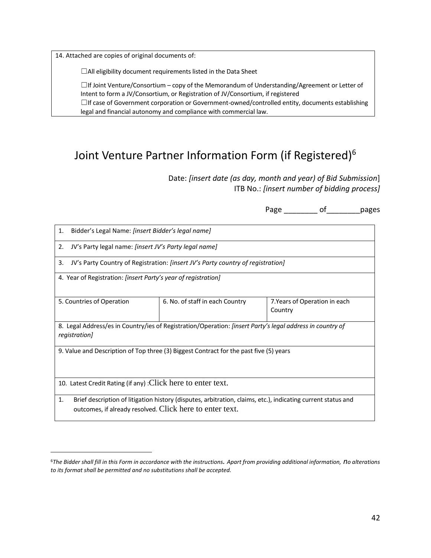14. Attached are copies of original documents of:

 $\overline{a}$ 

☐All eligibility document requirements listed in the Data Sheet

 $\Box$ If Joint Venture/Consortium – copy of the Memorandum of Understanding/Agreement or Letter of Intent to form a JV/Consortium, or Registration of JV/Consortium, if registered  $\Box$ If case of Government corporation or Government-owned/controlled entity, documents establishing legal and financial autonomy and compliance with commercial law.

# Joint Venture Partner Information Form (if Registered)<sup>6</sup>

Date: *[insert date (as day, month and year) of Bid Submission*] ITB No.: *[insert number of bidding process]*

Page of pages

| 1.<br>Bidder's Legal Name: [insert Bidder's legal name]                               |                                                                                                                  |                                          |  |  |  |  |  |  |  |  |
|---------------------------------------------------------------------------------------|------------------------------------------------------------------------------------------------------------------|------------------------------------------|--|--|--|--|--|--|--|--|
| JV's Party legal name: [insert JV's Party legal name]<br>2.                           |                                                                                                                  |                                          |  |  |  |  |  |  |  |  |
| 3.<br>JV's Party Country of Registration: [insert JV's Party country of registration] |                                                                                                                  |                                          |  |  |  |  |  |  |  |  |
| 4. Year of Registration: <i>[insert Party's year of registration]</i>                 |                                                                                                                  |                                          |  |  |  |  |  |  |  |  |
| 5. Countries of Operation                                                             | 6. No. of staff in each Country                                                                                  | 7. Years of Operation in each<br>Country |  |  |  |  |  |  |  |  |
| registration]                                                                         | 8. Legal Address/es in Country/ies of Registration/Operation: <i>[insert Party's legal address in country of</i> |                                          |  |  |  |  |  |  |  |  |
|                                                                                       | 9. Value and Description of Top three (3) Biggest Contract for the past five (5) years                           |                                          |  |  |  |  |  |  |  |  |
| 10. Latest Credit Rating (if any) : Click here to enter text.                         |                                                                                                                  |                                          |  |  |  |  |  |  |  |  |
| 1.<br>outcomes, if already resolved. Click here to enter text.                        | Brief description of litigation history (disputes, arbitration, claims, etc.), indicating current status and     |                                          |  |  |  |  |  |  |  |  |

<sup>6</sup>*The Bidder shall fill in this Form in accordance with the instructions. Apart from providing additional information, no alterations to its format shall be permitted and no substitutions shall be accepted.*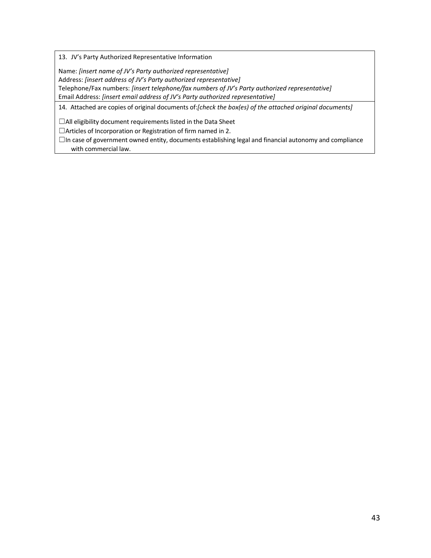13. JV's Party Authorized Representative Information

Name: *[insert name of JV's Party authorized representative]* Address: *[insert address of JV's Party authorized representative]* Telephone/Fax numbers: *[insert telephone/fax numbers of JV's Party authorized representative]* Email Address: *[insert email address of JV's Party authorized representative]*

14. Attached are copies of original documents of:*[check the box(es) of the attached original documents]*

☐All eligibility document requirements listed in the Data Sheet

☐Articles of Incorporation or Registration of firm named in 2.

☐In case of government owned entity, documents establishing legal and financial autonomy and compliance with commercial law.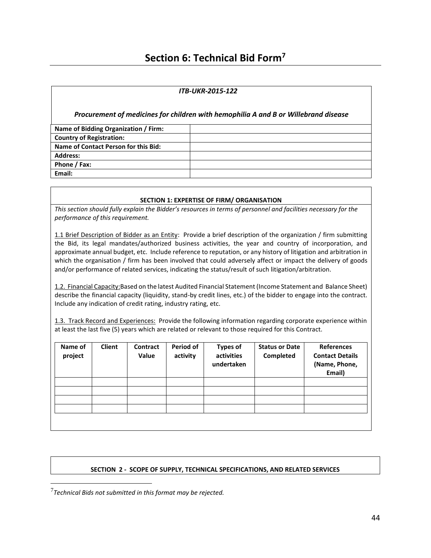# **Section 6: Technical Bid Form<sup>7</sup>**

#### *ITB-UKR-2015-122*

*Procurement of medicines for children with hemophilia A and B or Willebrand disease*

| Name of Bidding Organization / Firm: |  |
|--------------------------------------|--|
| <b>Country of Registration:</b>      |  |
| Name of Contact Person for this Bid: |  |
| <b>Address:</b>                      |  |
| Phone / Fax:                         |  |
| Email:                               |  |

#### **SECTION 1: EXPERTISE OF FIRM/ ORGANISATION**

*This section should fully explain the Bidder's resources in terms of personnel and facilities necessary for the performance of this requirement.*

1.1 Brief Description of Bidder as an Entity: Provide a brief description of the organization / firm submitting the Bid, its legal mandates/authorized business activities, the year and country of incorporation, and approximate annual budget, etc. Include reference to reputation, or any history of litigation and arbitration in which the organisation / firm has been involved that could adversely affect or impact the delivery of goods and/or performance of related services, indicating the status/result of such litigation/arbitration.

1.2. Financial Capacity:Based on the latest Audited Financial Statement (Income Statement and Balance Sheet) describe the financial capacity (liquidity, stand-by credit lines, etc.) of the bidder to engage into the contract. Include any indication of credit rating, industry rating, etc.

1.3. Track Record and Experiences: Provide the following information regarding corporate experience within at least the last five (5) years which are related or relevant to those required for this Contract.

| Name of<br>project | <b>Client</b> | <b>Contract</b><br>Value | Period of<br>activity | <b>Types of</b><br>activities<br>undertaken | <b>Status or Date</b><br>Completed | <b>References</b><br><b>Contact Details</b><br>(Name, Phone,<br>Email) |
|--------------------|---------------|--------------------------|-----------------------|---------------------------------------------|------------------------------------|------------------------------------------------------------------------|
|                    |               |                          |                       |                                             |                                    |                                                                        |
|                    |               |                          |                       |                                             |                                    |                                                                        |
|                    |               |                          |                       |                                             |                                    |                                                                        |
|                    |               |                          |                       |                                             |                                    |                                                                        |
|                    |               |                          |                       |                                             |                                    |                                                                        |
|                    |               |                          |                       |                                             |                                    |                                                                        |

#### **SECTION 2 - SCOPE OF SUPPLY, TECHNICAL SPECIFICATIONS, AND RELATED SERVICES**

<sup>7</sup> *Technical Bids not submitted in this format may be rejected.*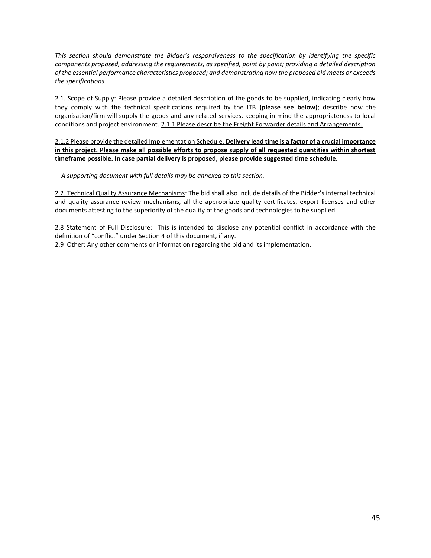*This section should demonstrate the Bidder's responsiveness to the specification by identifying the specific components proposed, addressing the requirements, as specified, point by point; providing a detailed description of the essential performance characteristics proposed; and demonstrating how the proposed bid meets or exceeds the specifications.*

2.1. Scope of Supply: Please provide a detailed description of the goods to be supplied, indicating clearly how they comply with the technical specifications required by the ITB **(please see below)**; describe how the organisation/firm will supply the goods and any related services, keeping in mind the appropriateness to local conditions and project environment. 2.1.1 Please describe the Freight Forwarder details and Arrangements.

2.1.2 Please provide the detailed Implementation Schedule. **Delivery lead time is a factor of a crucial importance in this project. Please make all possible efforts to propose supply of all requested quantities within shortest timeframe possible. In case partial delivery is proposed, please provide suggested time schedule.** 

*A supporting document with full details may be annexed to this section.*

2.2. Technical Quality Assurance Mechanisms: The bid shall also include details of the Bidder's internal technical and quality assurance review mechanisms, all the appropriate quality certificates, export licenses and other documents attesting to the superiority of the quality of the goods and technologies to be supplied.

2.8 Statement of Full Disclosure: This is intended to disclose any potential conflict in accordance with the definition of "conflict" under Section 4 of this document, if any. 2.9 Other: Any other comments or information regarding the bid and its implementation.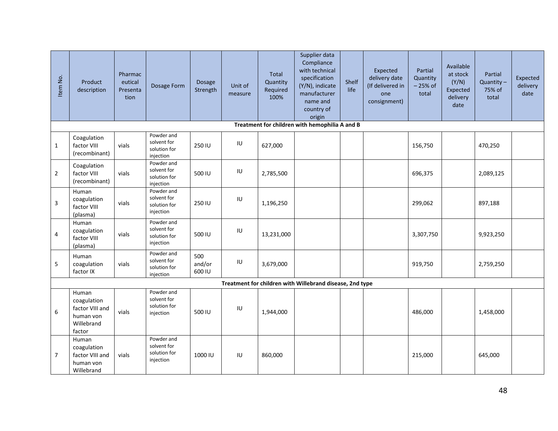| Item No.       | Product<br>description                                                       | Pharmac<br>eutical<br>Presenta<br>tion | Dosage Form                                            | Dosage<br>Strength      | Unit of<br>measure | <b>Total</b><br>Quantity<br>Required<br>100% | Supplier data<br>Compliance<br>with technical<br>specification<br>(Y/N), indicate<br>manufacturer<br>name and<br>country of<br>origin | Shelf<br>life | Expected<br>delivery date<br>(If delivered in<br>one<br>consignment) | Partial<br>Quantity<br>$-25%$ of<br>total | Available<br>at stock<br>(Y/N)<br>Expected<br>delivery<br>date | Partial<br>$Quantity -$<br>75% of<br>total | Expected<br>delivery<br>date |
|----------------|------------------------------------------------------------------------------|----------------------------------------|--------------------------------------------------------|-------------------------|--------------------|----------------------------------------------|---------------------------------------------------------------------------------------------------------------------------------------|---------------|----------------------------------------------------------------------|-------------------------------------------|----------------------------------------------------------------|--------------------------------------------|------------------------------|
|                |                                                                              |                                        |                                                        |                         |                    |                                              | Treatment for children with hemophilia A and B                                                                                        |               |                                                                      |                                           |                                                                |                                            |                              |
| $\mathbf{1}$   | Coagulation<br>factor VIII<br>(recombinant)                                  | vials                                  | Powder and<br>solvent for<br>solution for<br>injection | 250 IU                  | IU                 | 627,000                                      |                                                                                                                                       |               |                                                                      | 156,750                                   |                                                                | 470,250                                    |                              |
| $\overline{2}$ | Coagulation<br>factor VIII<br>(recombinant)                                  | vials                                  | Powder and<br>solvent for<br>solution for<br>injection | 500 IU                  | IU                 | 2,785,500                                    |                                                                                                                                       |               |                                                                      | 696,375                                   |                                                                | 2,089,125                                  |                              |
| $\overline{3}$ | Human<br>coagulation<br>factor VIII<br>(plasma)                              | vials                                  | Powder and<br>solvent for<br>solution for<br>injection | 250 IU                  | IU                 | 1,196,250                                    |                                                                                                                                       |               |                                                                      | 299,062                                   |                                                                | 897,188                                    |                              |
| 4              | Human<br>coagulation<br>factor VIII<br>(plasma)                              | vials                                  | Powder and<br>solvent for<br>solution for<br>injection | 500 IU                  | IU                 | 13,231,000                                   |                                                                                                                                       |               |                                                                      | 3,307,750                                 |                                                                | 9,923,250                                  |                              |
| 5              | Human<br>coagulation<br>factor IX                                            | vials                                  | Powder and<br>solvent for<br>solution for<br>injection | 500<br>and/or<br>600 IU | $\sf I\sf U$       | 3,679,000                                    |                                                                                                                                       |               |                                                                      | 919,750                                   |                                                                | 2,759,250                                  |                              |
|                |                                                                              |                                        |                                                        |                         |                    |                                              | Treatment for children with Willebrand disease, 2nd type                                                                              |               |                                                                      |                                           |                                                                |                                            |                              |
| 6              | Human<br>coagulation<br>factor VIII and<br>human von<br>Willebrand<br>factor | vials                                  | Powder and<br>solvent for<br>solution for<br>injection | 500 IU                  | IU                 | 1,944,000                                    |                                                                                                                                       |               |                                                                      | 486,000                                   |                                                                | 1,458,000                                  |                              |
| $\overline{7}$ | Human<br>coagulation<br>factor VIII and<br>human von<br>Willebrand           | vials                                  | Powder and<br>solvent for<br>solution for<br>injection | 1000 IU                 | IU                 | 860,000                                      |                                                                                                                                       |               |                                                                      | 215,000                                   |                                                                | 645,000                                    |                              |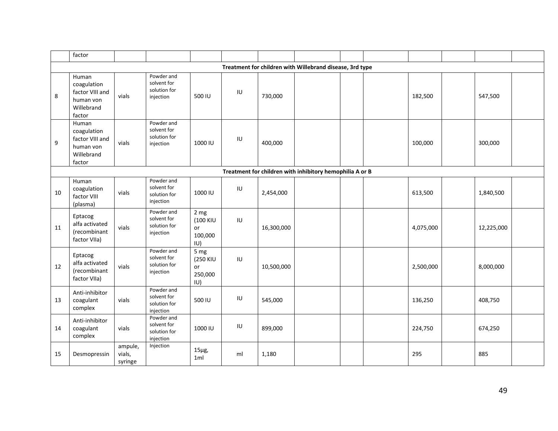|    | factor                                                                       |                              |                                                        |                                          |              |            |                                                          |  |           |            |  |
|----|------------------------------------------------------------------------------|------------------------------|--------------------------------------------------------|------------------------------------------|--------------|------------|----------------------------------------------------------|--|-----------|------------|--|
|    |                                                                              |                              |                                                        |                                          |              |            | Treatment for children with Willebrand disease, 3rd type |  |           |            |  |
| 8  | Human<br>coagulation<br>factor VIII and<br>human von<br>Willebrand<br>factor | vials                        | Powder and<br>solvent for<br>solution for<br>injection | 500 IU                                   | IU           | 730,000    |                                                          |  | 182,500   | 547,500    |  |
| 9  | Human<br>coagulation<br>factor VIII and<br>human von<br>Willebrand<br>factor | vials                        | Powder and<br>solvent for<br>solution for<br>injection | 1000 IU                                  | $\sf I\sf U$ | 400,000    |                                                          |  | 100,000   | 300,000    |  |
|    |                                                                              |                              |                                                        |                                          |              |            | Treatment for children with inhibitory hemophilia A or B |  |           |            |  |
| 10 | Human<br>coagulation<br>factor VIII<br>(plasma)                              | vials                        | Powder and<br>solvent for<br>solution for<br>injection | 1000 IU                                  | $\sf I\sf U$ | 2,454,000  |                                                          |  | 613,500   | 1,840,500  |  |
| 11 | Eptacog<br>alfa activated<br>(recombinant<br>factor VIIa)                    | vials                        | Powder and<br>solvent for<br>solution for<br>injection | 2 mg<br>(100 KIU<br>or<br>100,000<br>IU) | IU           | 16,300,000 |                                                          |  | 4,075,000 | 12,225,000 |  |
| 12 | Eptacog<br>alfa activated<br>(recombinant<br>factor VIIa)                    | vials                        | Powder and<br>solvent for<br>solution for<br>injection | 5 mg<br>(250 KIU<br>or<br>250,000<br>IU) | IU           | 10,500,000 |                                                          |  | 2,500,000 | 8,000,000  |  |
| 13 | Anti-inhibitor<br>coagulant<br>complex                                       | vials                        | Powder and<br>solvent for<br>solution for<br>injection | 500 IU                                   | IU           | 545,000    |                                                          |  | 136,250   | 408,750    |  |
| 14 | Anti-inhibitor<br>coagulant<br>complex                                       | vials                        | Powder and<br>solvent for<br>solution for<br>injection | 1000 IU                                  | $\sf I\sf U$ | 899,000    |                                                          |  | 224,750   | 674,250    |  |
| 15 | Desmopressin                                                                 | ampule,<br>vials,<br>syringe | Injection                                              | $15\mu g$ ,<br>1ml                       | ml           | 1,180      |                                                          |  | 295       | 885        |  |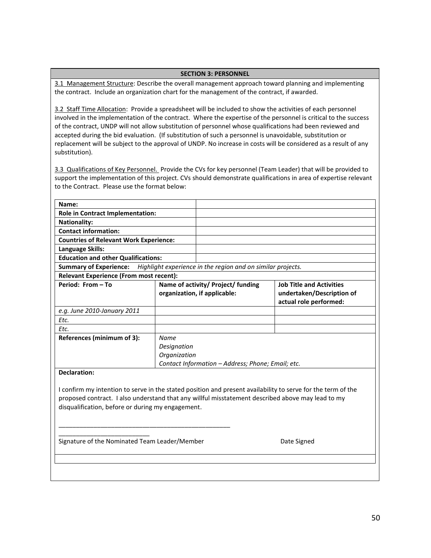#### **SECTION 3: PERSONNEL**

3.1 Management Structure: Describe the overall management approach toward planning and implementing the contract. Include an organization chart for the management of the contract, if awarded.

3.2 Staff Time Allocation: Provide a spreadsheet will be included to show the activities of each personnel involved in the implementation of the contract. Where the expertise of the personnel is critical to the success of the contract, UNDP will not allow substitution of personnel whose qualifications had been reviewed and accepted during the bid evaluation. (If substitution of such a personnel is unavoidable, substitution or replacement will be subject to the approval of UNDP. No increase in costs will be considered as a result of any substitution).

3.3 Qualifications of Key Personnel. Provide the CVs for key personnel (Team Leader) that will be provided to support the implementation of this project. CVs should demonstrate qualifications in area of expertise relevant to the Contract. Please use the format below:

| Role in Contract Implementation:                                  |                                                                                                                                               |                                                                                                                                                                                                                                                                                                                                                                                                                                                                                                                   |  |  |  |  |  |
|-------------------------------------------------------------------|-----------------------------------------------------------------------------------------------------------------------------------------------|-------------------------------------------------------------------------------------------------------------------------------------------------------------------------------------------------------------------------------------------------------------------------------------------------------------------------------------------------------------------------------------------------------------------------------------------------------------------------------------------------------------------|--|--|--|--|--|
|                                                                   |                                                                                                                                               |                                                                                                                                                                                                                                                                                                                                                                                                                                                                                                                   |  |  |  |  |  |
|                                                                   |                                                                                                                                               |                                                                                                                                                                                                                                                                                                                                                                                                                                                                                                                   |  |  |  |  |  |
|                                                                   |                                                                                                                                               |                                                                                                                                                                                                                                                                                                                                                                                                                                                                                                                   |  |  |  |  |  |
|                                                                   |                                                                                                                                               |                                                                                                                                                                                                                                                                                                                                                                                                                                                                                                                   |  |  |  |  |  |
|                                                                   |                                                                                                                                               |                                                                                                                                                                                                                                                                                                                                                                                                                                                                                                                   |  |  |  |  |  |
|                                                                   |                                                                                                                                               |                                                                                                                                                                                                                                                                                                                                                                                                                                                                                                                   |  |  |  |  |  |
|                                                                   |                                                                                                                                               |                                                                                                                                                                                                                                                                                                                                                                                                                                                                                                                   |  |  |  |  |  |
|                                                                   |                                                                                                                                               | <b>Job Title and Activities</b><br>undertaken/Description of<br>actual role performed:                                                                                                                                                                                                                                                                                                                                                                                                                            |  |  |  |  |  |
|                                                                   |                                                                                                                                               |                                                                                                                                                                                                                                                                                                                                                                                                                                                                                                                   |  |  |  |  |  |
|                                                                   |                                                                                                                                               |                                                                                                                                                                                                                                                                                                                                                                                                                                                                                                                   |  |  |  |  |  |
|                                                                   |                                                                                                                                               |                                                                                                                                                                                                                                                                                                                                                                                                                                                                                                                   |  |  |  |  |  |
| References (minimum of 3):<br>Name<br>Designation<br>Organization |                                                                                                                                               |                                                                                                                                                                                                                                                                                                                                                                                                                                                                                                                   |  |  |  |  |  |
|                                                                   |                                                                                                                                               |                                                                                                                                                                                                                                                                                                                                                                                                                                                                                                                   |  |  |  |  |  |
|                                                                   |                                                                                                                                               | Date Signed                                                                                                                                                                                                                                                                                                                                                                                                                                                                                                       |  |  |  |  |  |
|                                                                   | <b>Countries of Relevant Work Experience:</b><br><b>Education and other Qualifications:</b><br><b>Relevant Experience (From most recent):</b> | Highlight experience in the region and on similar projects.<br>Name of activity/ Project/ funding<br>organization, if applicable:<br>Contact Information - Address; Phone; Email; etc.<br>I confirm my intention to serve in the stated position and present availability to serve for the term of the<br>proposed contract. I also understand that any willful misstatement described above may lead to my<br>disqualification, before or during my engagement.<br>Signature of the Nominated Team Leader/Member |  |  |  |  |  |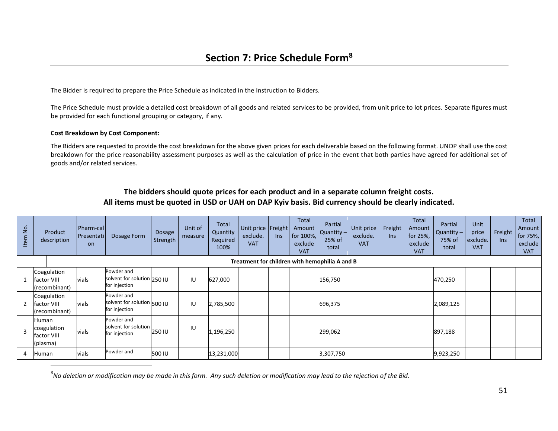The Bidder is required to prepare the Price Schedule as indicated in the Instruction to Bidders.

The Price Schedule must provide a detailed cost breakdown of all goods and related services to be provided, from unit price to lot prices. Separate figures must be provided for each functional grouping or category, if any.

#### **Cost Breakdown by Cost Component:**

 $\overline{a}$ 

The Bidders are requested to provide the cost breakdown for the above given prices for each deliverable based on the following format. UNDP shall use the cost breakdown for the price reasonability assessment purposes as well as the calculation of price in the event that both parties have agreed for additional set of goods and/or related services.

| $\overline{5}$<br>Item | Product<br>description                          | Pharm-cal <br>Presentati<br><b>on</b> | Dosage Form                                                | Dosage<br>Strength | Unit of<br>measure | Total<br>Quantity<br>Required<br>100% | Unit price Freight<br>exclude.<br><b>VAT</b> | <b>Ins</b> | Total<br>Amount<br>for 100%,<br>exclude<br><b>VAT</b> | Partial<br>$\alpha$ uantity –<br>25% of<br>total | Unit price<br>exclude.<br><b>VAT</b> | Freight<br>In <sub>S</sub> | <b>Total</b><br>Amount<br>for 25%,<br>exclude<br><b>VAT</b> | <b>Partial</b><br>Quantity $-$<br>75% of<br>total | Unit<br>price<br>exclude.<br><b>VAT</b> | Freight<br>In <sub>S</sub> | Total<br>Amount<br>for 75%,<br>exclude<br><b>VAT</b> |
|------------------------|-------------------------------------------------|---------------------------------------|------------------------------------------------------------|--------------------|--------------------|---------------------------------------|----------------------------------------------|------------|-------------------------------------------------------|--------------------------------------------------|--------------------------------------|----------------------------|-------------------------------------------------------------|---------------------------------------------------|-----------------------------------------|----------------------------|------------------------------------------------------|
|                        | Treatment for children with hemophilia A and B  |                                       |                                                            |                    |                    |                                       |                                              |            |                                                       |                                                  |                                      |                            |                                                             |                                                   |                                         |                            |                                                      |
|                        | Coagulation<br>factor VIII<br>(recombinant)     | vials                                 | Powder and<br>solvent for solution 250 IU<br>for injection |                    | IU                 | 627,000                               |                                              |            |                                                       | 156,750                                          |                                      |                            |                                                             | 470,250                                           |                                         |                            |                                                      |
| $\overline{2}$         | Coagulation<br>factor VIII<br>(recombinant)     | vials                                 | Powder and<br>solvent for solution 500 IU<br>for injection |                    | IU                 | 2,785,500                             |                                              |            |                                                       | 696,375                                          |                                      |                            |                                                             | 2,089,125                                         |                                         |                            |                                                      |
| $\mathbf{R}$           | Human<br>coagulation<br>factor VIII<br>(plasma) | vials                                 | Powder and<br>solvent for solution<br>for injection        | 250 IU             | IU                 | 1,196,250                             |                                              |            |                                                       | 299,062                                          |                                      |                            |                                                             | 897,188                                           |                                         |                            |                                                      |
|                        | Human                                           | vials                                 | Powder and                                                 | 500 IU             |                    | 13,231,000                            |                                              |            |                                                       | 3,307,750                                        |                                      |                            |                                                             | 9,923,250                                         |                                         |                            |                                                      |

#### **The bidders should quote prices for each product and in a separate column freight costs. All items must be quoted in USD or UAH on DAP Kyiv basis. Bid currency should be clearly indicated.**

8 *No deletion or modification may be made in this form. Any such deletion or modification may lead to the rejection of the Bid.*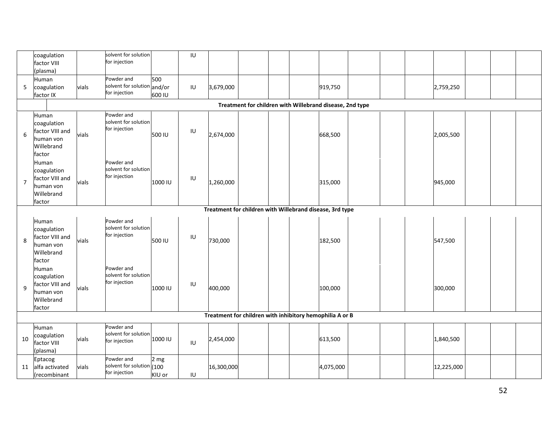|                                                          | coagulation<br>factor VIII                                         |       | solvent for solution<br>for injection               |                 | IU           |            |  |  |  |           |  |         |            |  |  |
|----------------------------------------------------------|--------------------------------------------------------------------|-------|-----------------------------------------------------|-----------------|--------------|------------|--|--|--|-----------|--|---------|------------|--|--|
|                                                          | (plasma)                                                           |       |                                                     |                 |              |            |  |  |  |           |  |         |            |  |  |
|                                                          | Human                                                              |       | Powder and<br>solvent for solution and/or           | 500             |              |            |  |  |  |           |  |         |            |  |  |
| 5                                                        | coagulation<br>factor IX                                           | vials | for injection                                       | 600 IU          | IU           | 3,679,000  |  |  |  | 919,750   |  |         | 2,759,250  |  |  |
|                                                          | Treatment for children with Willebrand disease, 2nd type           |       |                                                     |                 |              |            |  |  |  |           |  |         |            |  |  |
|                                                          | Human                                                              |       | Powder and                                          |                 |              |            |  |  |  |           |  |         |            |  |  |
| 6                                                        | coagulation<br>factor VIII and                                     |       | solvent for solution<br>for injection               | IU<br>500 IU    |              |            |  |  |  |           |  |         |            |  |  |
|                                                          | human von                                                          | vials |                                                     |                 |              | 2,674,000  |  |  |  | 668,500   |  |         | 2,005,500  |  |  |
|                                                          | Willebrand                                                         |       |                                                     |                 |              |            |  |  |  |           |  |         |            |  |  |
|                                                          | factor                                                             |       |                                                     |                 |              |            |  |  |  |           |  |         |            |  |  |
| $\overline{7}$                                           | Human<br>coagulation                                               |       | Powder and<br>solvent for solution<br>for injection | 1000 IU         | IU           | 1,260,000  |  |  |  | 315,000   |  |         |            |  |  |
|                                                          | factor VIII and                                                    |       |                                                     |                 |              |            |  |  |  |           |  |         |            |  |  |
|                                                          | human von                                                          | vials |                                                     |                 |              |            |  |  |  |           |  | 945,000 |            |  |  |
|                                                          | Willebrand                                                         |       |                                                     |                 |              |            |  |  |  |           |  |         |            |  |  |
|                                                          | factor<br>Treatment for children with Willebrand disease, 3rd type |       |                                                     |                 |              |            |  |  |  |           |  |         |            |  |  |
|                                                          |                                                                    |       |                                                     |                 |              |            |  |  |  |           |  |         |            |  |  |
|                                                          | Human<br>coagulation                                               |       | Powder and<br>solvent for solution                  |                 |              |            |  |  |  |           |  |         |            |  |  |
|                                                          | factor VIII and                                                    |       | for injection                                       |                 | IU           |            |  |  |  |           |  |         |            |  |  |
| 8                                                        | human von                                                          | vials |                                                     | 500 IU          |              | 730,000    |  |  |  | 182,500   |  |         | 547,500    |  |  |
|                                                          | Willebrand                                                         |       |                                                     |                 |              |            |  |  |  |           |  |         |            |  |  |
|                                                          | factor<br>Human                                                    |       | Powder and                                          |                 |              |            |  |  |  |           |  |         |            |  |  |
|                                                          | coagulation                                                        |       | solvent for solution                                |                 |              |            |  |  |  |           |  |         |            |  |  |
| 9                                                        | factor VIII and                                                    | vials | for injection                                       | 1000 IU         | $\sf I\sf U$ | 400,000    |  |  |  | 100,000   |  |         | 300,000    |  |  |
|                                                          | human von<br>Willebrand                                            |       |                                                     |                 |              |            |  |  |  |           |  |         |            |  |  |
|                                                          | factor                                                             |       |                                                     |                 |              |            |  |  |  |           |  |         |            |  |  |
| Treatment for children with inhibitory hemophilia A or B |                                                                    |       |                                                     |                 |              |            |  |  |  |           |  |         |            |  |  |
|                                                          | Human                                                              |       | Powder and                                          |                 |              |            |  |  |  |           |  |         |            |  |  |
| 10                                                       | coagulation                                                        | vials | solvent for solution<br>for injection               | 1000 IU         |              | 2,454,000  |  |  |  | 613,500   |  |         | 1,840,500  |  |  |
|                                                          | factor VIII<br>(plasma)                                            |       |                                                     |                 | IU           |            |  |  |  |           |  |         |            |  |  |
|                                                          | Eptacog                                                            |       | Powder and                                          | 2 <sub>mg</sub> |              |            |  |  |  |           |  |         |            |  |  |
| 11                                                       | alfa activated                                                     | vials | solvent for solution (100                           |                 |              | 16,300,000 |  |  |  | 4,075,000 |  |         | 12,225,000 |  |  |
|                                                          | (recombinant                                                       |       | for injection                                       | KIU or          | IU           |            |  |  |  |           |  |         |            |  |  |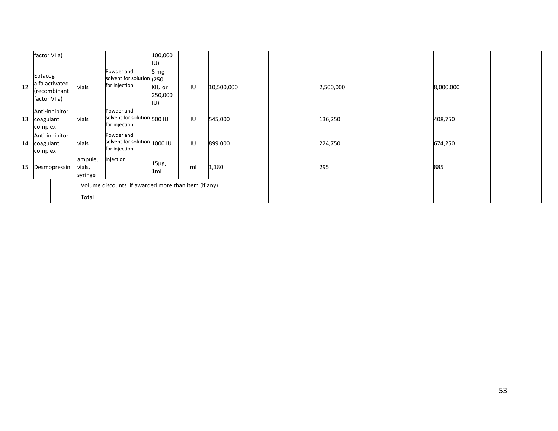|    | factor VIIa)                                              |                              |                                                             | 100,000<br>IU)                     |    |            |  |           |  |           |  |  |
|----|-----------------------------------------------------------|------------------------------|-------------------------------------------------------------|------------------------------------|----|------------|--|-----------|--|-----------|--|--|
| 12 | Eptacog<br>alfa activated<br>(recombinant<br>factor VIIa) | vials                        | Powder and<br>solvent for solution (250<br>for injection    | 5 $mg$<br>KIU or<br>250,000<br>IU) | IU | 10,500,000 |  | 2,500,000 |  | 8,000,000 |  |  |
| 13 | Anti-inhibitor<br>coagulant<br>complex                    | vials                        | Powder and<br>solvent for solution 500 IU<br>for injection  |                                    | IU | 545,000    |  | 136,250   |  | 408,750   |  |  |
| 14 | Anti-inhibitor<br>coagulant<br>complex                    | vials                        | Powder and<br>solvent for solution 1000 IU<br>for injection |                                    | IU | 899,000    |  | 224,750   |  | 674,250   |  |  |
| 15 | Desmopressin                                              | ampule,<br>vials,<br>syringe | Injection                                                   | $15\mu g$ ,<br>1ml                 | ml | 1,180      |  | 295       |  | 885       |  |  |
|    | Volume discounts if awarded more than item (if any)       |                              |                                                             |                                    |    |            |  |           |  |           |  |  |
|    | Total                                                     |                              |                                                             |                                    |    |            |  |           |  |           |  |  |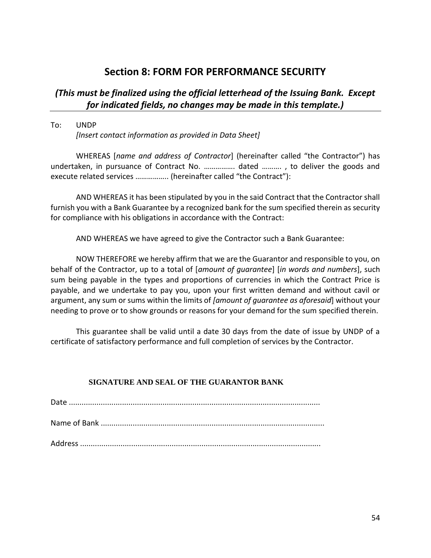# **Section 8: FORM FOR PERFORMANCE SECURITY**

## *(This must be finalized using the official letterhead of the Issuing Bank. Except for indicated fields, no changes may be made in this template.)*

To: UNDP

*[Insert contact information as provided in Data Sheet]*

WHEREAS [*name and address of Contractor*] (hereinafter called "the Contractor") has undertaken, in pursuance of Contract No. ……………. dated ………. , to deliver the goods and execute related services …………….. (hereinafter called "the Contract"):

AND WHEREAS it has been stipulated by you in the said Contract that the Contractor shall furnish you with a Bank Guarantee by a recognized bank for the sum specified therein as security for compliance with his obligations in accordance with the Contract:

AND WHEREAS we have agreed to give the Contractor such a Bank Guarantee:

NOW THEREFORE we hereby affirm that we are the Guarantor and responsible to you, on behalf of the Contractor, up to a total of [*amount of guarantee*] [*in words and numbers*], such sum being payable in the types and proportions of currencies in which the Contract Price is payable, and we undertake to pay you, upon your first written demand and without cavil or argument, any sum or sums within the limits of *[amount of guarantee as aforesaid*] without your needing to prove or to show grounds or reasons for your demand for the sum specified therein.

This guarantee shall be valid until a date 30 days from the date of issue by UNDP of a certificate of satisfactory performance and full completion of services by the Contractor.

#### **SIGNATURE AND SEAL OF THE GUARANTOR BANK**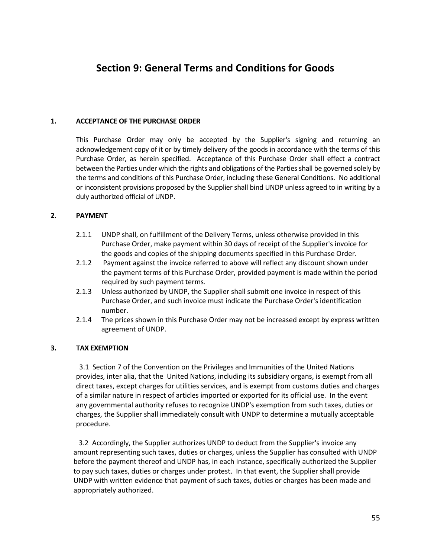#### **1. ACCEPTANCE OF THE PURCHASE ORDER**

This Purchase Order may only be accepted by the Supplier's signing and returning an acknowledgement copy of it or by timely delivery of the goods in accordance with the terms of this Purchase Order, as herein specified. Acceptance of this Purchase Order shall effect a contract between the Parties under which the rights and obligations of the Parties shall be governed solely by the terms and conditions of this Purchase Order, including these General Conditions. No additional or inconsistent provisions proposed by the Supplier shall bind UNDP unless agreed to in writing by a duly authorized official of UNDP.

#### **2. PAYMENT**

- 2.1.1 UNDP shall, on fulfillment of the Delivery Terms, unless otherwise provided in this Purchase Order, make payment within 30 days of receipt of the Supplier's invoice for the goods and copies of the shipping documents specified in this Purchase Order.
- 2.1.2 Payment against the invoice referred to above will reflect any discount shown under the payment terms of this Purchase Order, provided payment is made within the period required by such payment terms.
- 2.1.3 Unless authorized by UNDP, the Supplier shall submit one invoice in respect of this Purchase Order, and such invoice must indicate the Purchase Order's identification number.
- 2.1.4 The prices shown in this Purchase Order may not be increased except by express written agreement of UNDP.

#### **3. TAX EXEMPTION**

3.1 Section 7 of the Convention on the Privileges and Immunities of the United Nations provides, inter alia, that the United Nations, including its subsidiary organs, is exempt from all direct taxes, except charges for utilities services, and is exempt from customs duties and charges of a similar nature in respect of articles imported or exported for its official use. In the event any governmental authority refuses to recognize UNDP's exemption from such taxes, duties or charges, the Supplier shall immediately consult with UNDP to determine a mutually acceptable procedure.

 3.2 Accordingly, the Supplier authorizes UNDP to deduct from the Supplier's invoice any amount representing such taxes, duties or charges, unless the Supplier has consulted with UNDP before the payment thereof and UNDP has, in each instance, specifically authorized the Supplier to pay such taxes, duties or charges under protest. In that event, the Supplier shall provide UNDP with written evidence that payment of such taxes, duties or charges has been made and appropriately authorized.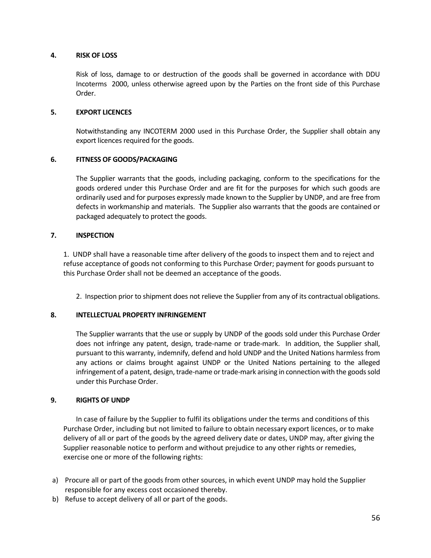#### **4. RISK OF LOSS**

Risk of loss, damage to or destruction of the goods shall be governed in accordance with DDU Incoterms 2000, unless otherwise agreed upon by the Parties on the front side of this Purchase Order.

#### **5. EXPORT LICENCES**

Notwithstanding any INCOTERM 2000 used in this Purchase Order, the Supplier shall obtain any export licences required for the goods.

#### **6. FITNESS OF GOODS/PACKAGING**

The Supplier warrants that the goods, including packaging, conform to the specifications for the goods ordered under this Purchase Order and are fit for the purposes for which such goods are ordinarily used and for purposes expressly made known to the Supplier by UNDP, and are free from defects in workmanship and materials. The Supplier also warrants that the goods are contained or packaged adequately to protect the goods.

#### **7. INSPECTION**

1. UNDP shall have a reasonable time after delivery of the goods to inspect them and to reject and refuse acceptance of goods not conforming to this Purchase Order; payment for goods pursuant to this Purchase Order shall not be deemed an acceptance of the goods.

2. Inspection prior to shipment does not relieve the Supplier from any of its contractual obligations.

#### **8. INTELLECTUAL PROPERTY INFRINGEMENT**

The Supplier warrants that the use or supply by UNDP of the goods sold under this Purchase Order does not infringe any patent, design, trade-name or trade-mark. In addition, the Supplier shall, pursuant to this warranty, indemnify, defend and hold UNDP and the United Nations harmless from any actions or claims brought against UNDP or the United Nations pertaining to the alleged infringement of a patent, design, trade-name or trade-mark arising in connection with the goods sold under this Purchase Order.

#### **9. RIGHTS OF UNDP**

In case of failure by the Supplier to fulfil its obligations under the terms and conditions of this Purchase Order, including but not limited to failure to obtain necessary export licences, or to make delivery of all or part of the goods by the agreed delivery date or dates, UNDP may, after giving the Supplier reasonable notice to perform and without prejudice to any other rights or remedies, exercise one or more of the following rights:

- a) Procure all or part of the goods from other sources, in which event UNDP may hold the Supplier responsible for any excess cost occasioned thereby.
- b) Refuse to accept delivery of all or part of the goods.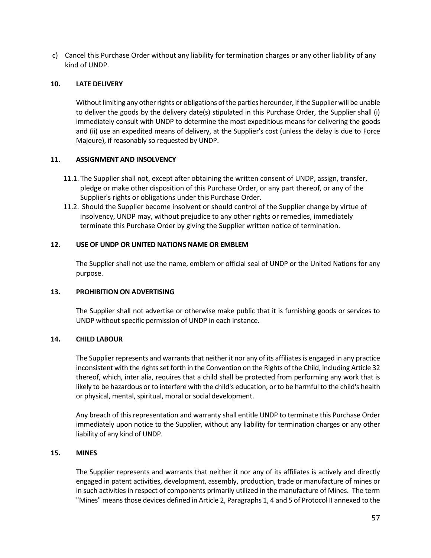c) Cancel this Purchase Order without any liability for termination charges or any other liability of any kind of UNDP.

#### **10. LATE DELIVERY**

Without limiting any other rights or obligations of the parties hereunder, if the Supplier will be unable to deliver the goods by the delivery date(s) stipulated in this Purchase Order, the Supplier shall (i) immediately consult with UNDP to determine the most expeditious means for delivering the goods and (ii) use an expedited means of delivery, at the Supplier's cost (unless the delay is due to Force Majeure), if reasonably so requested by UNDP.

#### **11. ASSIGNMENT AND INSOLVENCY**

- 11.1. The Supplier shall not, except after obtaining the written consent of UNDP, assign, transfer, pledge or make other disposition of this Purchase Order, or any part thereof, or any of the Supplier's rights or obligations under this Purchase Order.
- 11.2. Should the Supplier become insolvent or should control of the Supplier change by virtue of insolvency, UNDP may, without prejudice to any other rights or remedies, immediately terminate this Purchase Order by giving the Supplier written notice of termination.

#### **12. USE OF UNDP OR UNITED NATIONS NAME OR EMBLEM**

The Supplier shall not use the name, emblem or official seal of UNDP or the United Nations for any purpose.

#### **13. PROHIBITION ON ADVERTISING**

The Supplier shall not advertise or otherwise make public that it is furnishing goods or services to UNDP without specific permission of UNDP in each instance.

#### **14. CHILD LABOUR**

The Supplier represents and warrants that neither it nor any of its affiliates is engaged in any practice inconsistent with the rights set forth in the Convention on the Rights of the Child, including Article 32 thereof, which, inter alia, requires that a child shall be protected from performing any work that is likely to be hazardous or to interfere with the child's education, or to be harmful to the child's health or physical, mental, spiritual, moral or social development.

Any breach of this representation and warranty shall entitle UNDP to terminate this Purchase Order immediately upon notice to the Supplier, without any liability for termination charges or any other liability of any kind of UNDP.

#### **15. MINES**

The Supplier represents and warrants that neither it nor any of its affiliates is actively and directly engaged in patent activities, development, assembly, production, trade or manufacture of mines or in such activities in respect of components primarily utilized in the manufacture of Mines. The term "Mines" means those devices defined in Article 2, Paragraphs 1, 4 and 5 of Protocol II annexed to the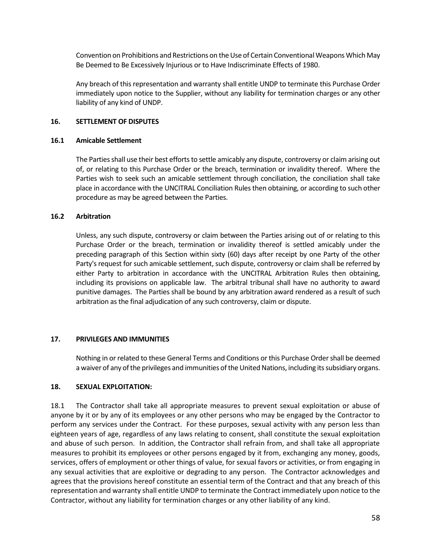Convention on Prohibitions and Restrictions on the Use of Certain Conventional Weapons Which May Be Deemed to Be Excessively Injurious or to Have Indiscriminate Effects of 1980.

Any breach of this representation and warranty shall entitle UNDP to terminate this Purchase Order immediately upon notice to the Supplier, without any liability for termination charges or any other liability of any kind of UNDP.

#### **16. SETTLEMENT OF DISPUTES**

#### **16.1 Amicable Settlement**

The Parties shall use their best efforts to settle amicably any dispute, controversy or claim arising out of, or relating to this Purchase Order or the breach, termination or invalidity thereof. Where the Parties wish to seek such an amicable settlement through conciliation, the conciliation shall take place in accordance with the UNCITRAL Conciliation Rules then obtaining, or according to such other procedure as may be agreed between the Parties.

#### **16.2 Arbitration**

Unless, any such dispute, controversy or claim between the Parties arising out of or relating to this Purchase Order or the breach, termination or invalidity thereof is settled amicably under the preceding paragraph of this Section within sixty (60) days after receipt by one Party of the other Party's request for such amicable settlement, such dispute, controversy or claim shall be referred by either Party to arbitration in accordance with the UNCITRAL Arbitration Rules then obtaining, including its provisions on applicable law. The arbitral tribunal shall have no authority to award punitive damages. The Parties shall be bound by any arbitration award rendered as a result of such arbitration as the final adjudication of any such controversy, claim or dispute.

#### **17. PRIVILEGES AND IMMUNITIES**

Nothing in or related to these General Terms and Conditions or this Purchase Order shall be deemed a waiver of any of the privileges and immunities of the United Nations, including its subsidiary organs.

#### **18. SEXUAL EXPLOITATION:**

18.1 The Contractor shall take all appropriate measures to prevent sexual exploitation or abuse of anyone by it or by any of its employees or any other persons who may be engaged by the Contractor to perform any services under the Contract. For these purposes, sexual activity with any person less than eighteen years of age, regardless of any laws relating to consent, shall constitute the sexual exploitation and abuse of such person. In addition, the Contractor shall refrain from, and shall take all appropriate measures to prohibit its employees or other persons engaged by it from, exchanging any money, goods, services, offers of employment or other things of value, for sexual favors or activities, or from engaging in any sexual activities that are exploitive or degrading to any person. The Contractor acknowledges and agrees that the provisions hereof constitute an essential term of the Contract and that any breach of this representation and warranty shall entitle UNDP to terminate the Contract immediately upon notice to the Contractor, without any liability for termination charges or any other liability of any kind.